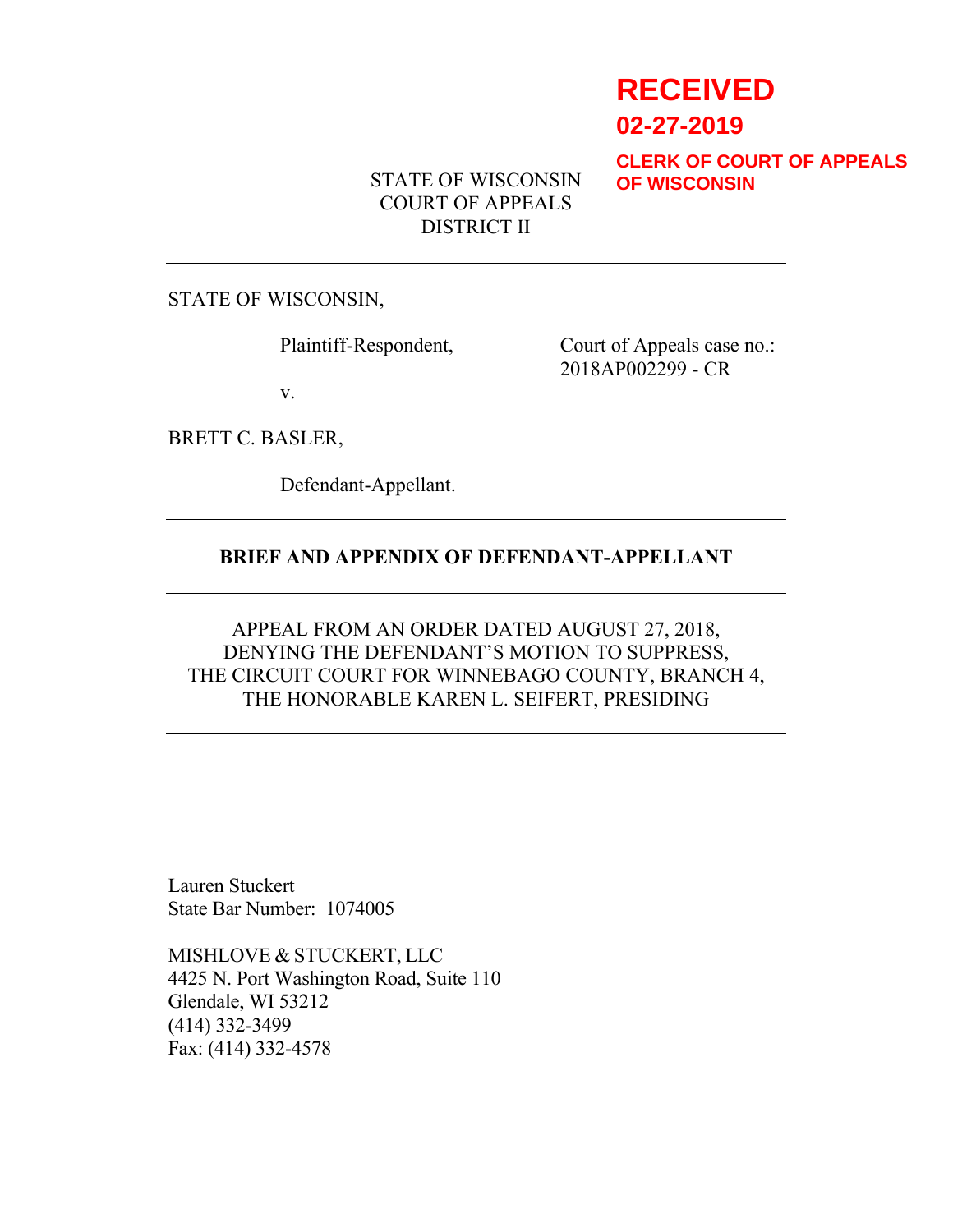# **RECEIVED**

**02-27-2019**

**CLERK OF COURT OF APPEALS OF WISCONSIN**

STATE OF WISCONSIN COURT OF APPEALS DISTRICT II

STATE OF WISCONSIN,

Plaintiff-Respondent, Court of Appeals case no.: 2018AP002299 - CR

v.

BRETT C. BASLER,

Defendant-Appellant.

## **BRIEF AND APPENDIX OF DEFENDANT-APPELLANT**

# APPEAL FROM AN ORDER DATED AUGUST 27, 2018, DENYING THE DEFENDANT'S MOTION TO SUPPRESS, THE CIRCUIT COURT FOR WINNEBAGO COUNTY, BRANCH 4, THE HONORABLE KAREN L. SEIFERT, PRESIDING

Lauren Stuckert State Bar Number: 1074005

MISHLOVE & STUCKERT, LLC 4425 N. Port Washington Road, Suite 110 Glendale, WI 53212 (414) 332-3499 Fax: (414) 332-4578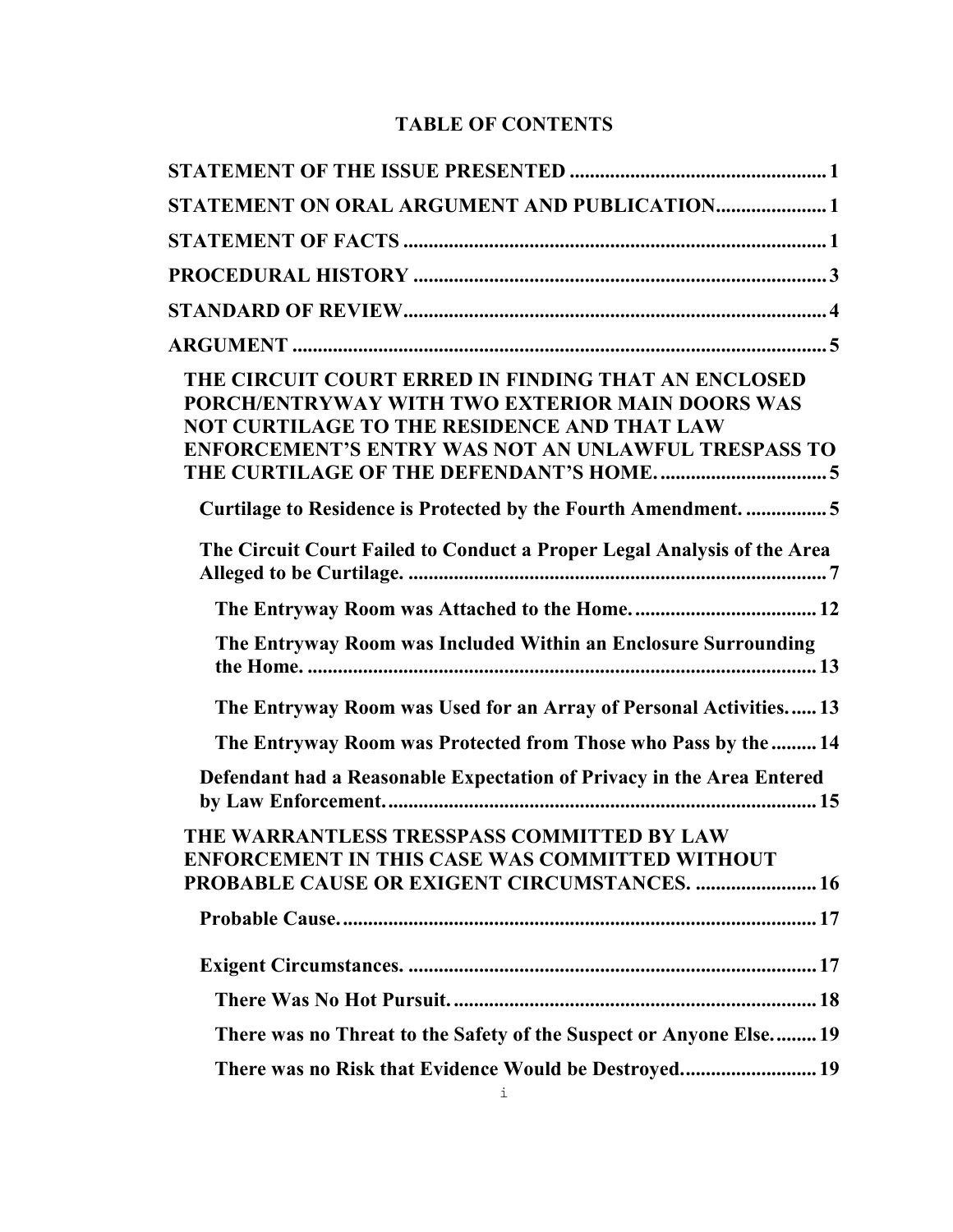# **TABLE OF CONTENTS**

| STATEMENT ON ORAL ARGUMENT AND PUBLICATION1                                                                                                                                                                         |  |
|---------------------------------------------------------------------------------------------------------------------------------------------------------------------------------------------------------------------|--|
|                                                                                                                                                                                                                     |  |
|                                                                                                                                                                                                                     |  |
|                                                                                                                                                                                                                     |  |
|                                                                                                                                                                                                                     |  |
| THE CIRCUIT COURT ERRED IN FINDING THAT AN ENCLOSED<br>PORCH/ENTRYWAY WITH TWO EXTERIOR MAIN DOORS WAS<br>NOT CURTILAGE TO THE RESIDENCE AND THAT LAW<br><b>ENFORCEMENT'S ENTRY WAS NOT AN UNLAWFUL TRESPASS TO</b> |  |
| Curtilage to Residence is Protected by the Fourth Amendment. 5                                                                                                                                                      |  |
| The Circuit Court Failed to Conduct a Proper Legal Analysis of the Area                                                                                                                                             |  |
|                                                                                                                                                                                                                     |  |
| The Entryway Room was Included Within an Enclosure Surrounding                                                                                                                                                      |  |
| The Entryway Room was Used for an Array of Personal Activities 13                                                                                                                                                   |  |
| The Entryway Room was Protected from Those who Pass by the  14                                                                                                                                                      |  |
| Defendant had a Reasonable Expectation of Privacy in the Area Entered                                                                                                                                               |  |
| THE WARRANTLESS TRESSPASS COMMITTED BY LAW<br>ENFORCEMENT IN THIS CASE WAS COMMITTED WITHOUT<br><b>PROBABLE CAUSE OR EXIGENT CIRCUMSTANCES.  16</b>                                                                 |  |
|                                                                                                                                                                                                                     |  |
|                                                                                                                                                                                                                     |  |
|                                                                                                                                                                                                                     |  |
| There was no Threat to the Safety of the Suspect or Anyone Else19                                                                                                                                                   |  |
| There was no Risk that Evidence Would be Destroyed 19                                                                                                                                                               |  |
|                                                                                                                                                                                                                     |  |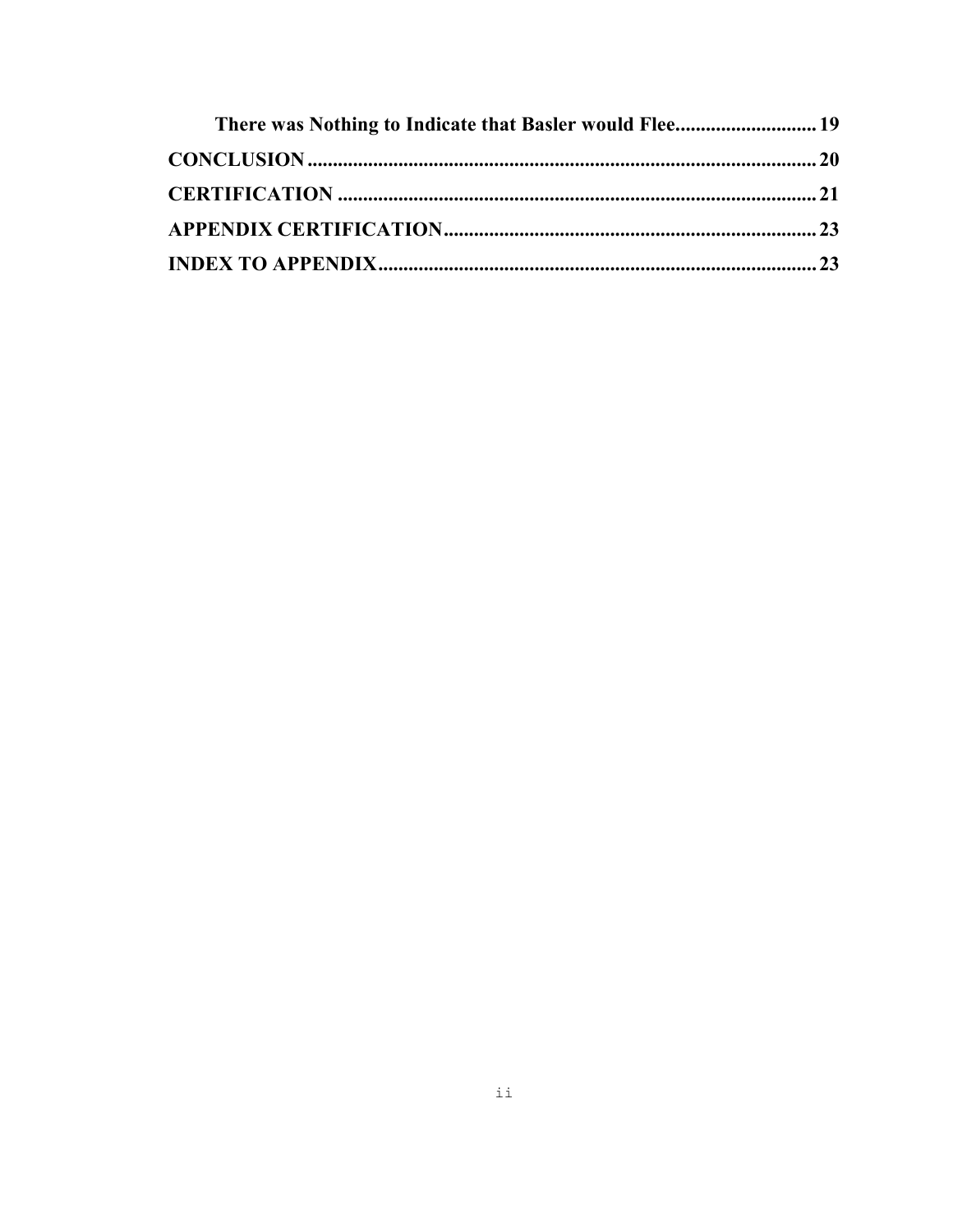| There was Nothing to Indicate that Basler would Flee 19 |  |
|---------------------------------------------------------|--|
|                                                         |  |
|                                                         |  |
|                                                         |  |
|                                                         |  |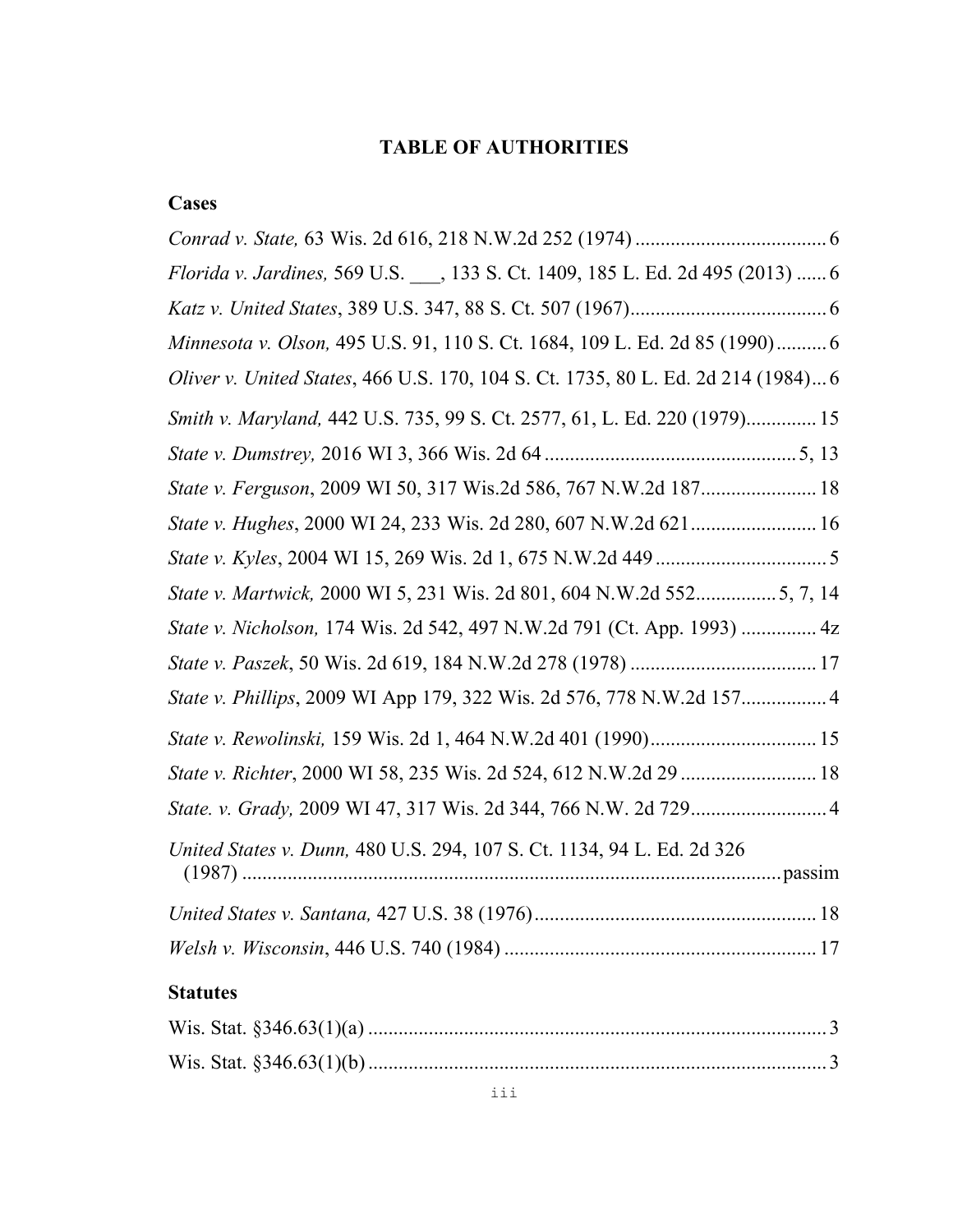# **TABLE OF AUTHORITIES**

# **Cases**

| Florida v. Jardines, 569 U.S., 133 S. Ct. 1409, 185 L. Ed. 2d 495 (2013)  6       |  |
|-----------------------------------------------------------------------------------|--|
|                                                                                   |  |
| Minnesota v. Olson, 495 U.S. 91, 110 S. Ct. 1684, 109 L. Ed. 2d 85 (1990) 6       |  |
| Oliver v. United States, 466 U.S. 170, 104 S. Ct. 1735, 80 L. Ed. 2d 214 (1984) 6 |  |
| Smith v. Maryland, 442 U.S. 735, 99 S. Ct. 2577, 61, L. Ed. 220 (1979) 15         |  |
|                                                                                   |  |
| State v. Ferguson, 2009 WI 50, 317 Wis.2d 586, 767 N.W.2d 187 18                  |  |
|                                                                                   |  |
|                                                                                   |  |
| State v. Martwick, 2000 WI 5, 231 Wis. 2d 801, 604 N.W.2d 5525, 7, 14             |  |
| State v. Nicholson, 174 Wis. 2d 542, 497 N.W.2d 791 (Ct. App. 1993)  4z           |  |
|                                                                                   |  |
| State v. Phillips, 2009 WI App 179, 322 Wis. 2d 576, 778 N.W.2d 157 4             |  |
|                                                                                   |  |
| State v. Richter, 2000 WI 58, 235 Wis. 2d 524, 612 N.W.2d 29  18                  |  |
|                                                                                   |  |
| United States v. Dunn, 480 U.S. 294, 107 S. Ct. 1134, 94 L. Ed. 2d 326            |  |
|                                                                                   |  |
|                                                                                   |  |
| <b>Statutes</b>                                                                   |  |
|                                                                                   |  |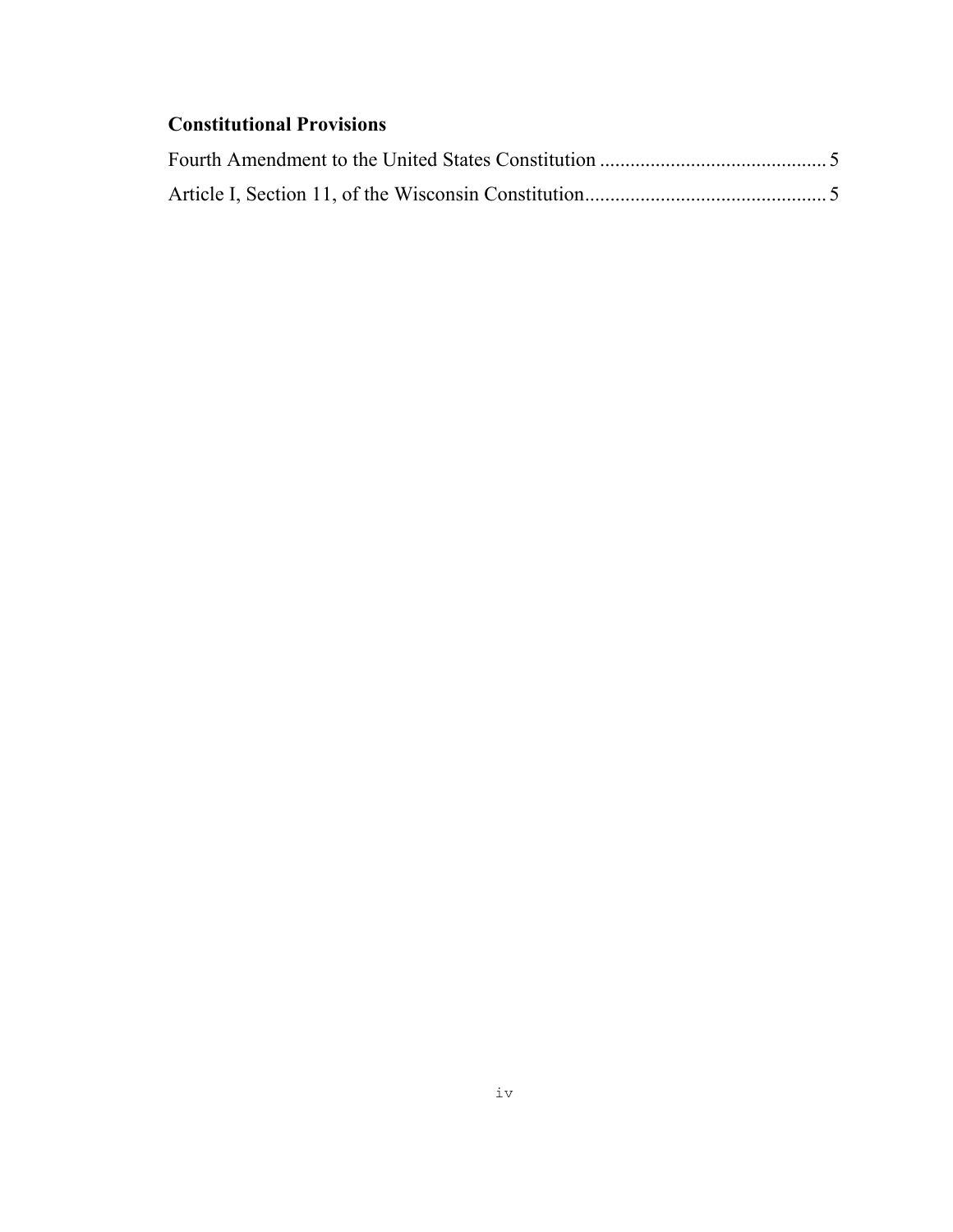# **Constitutional Provisions**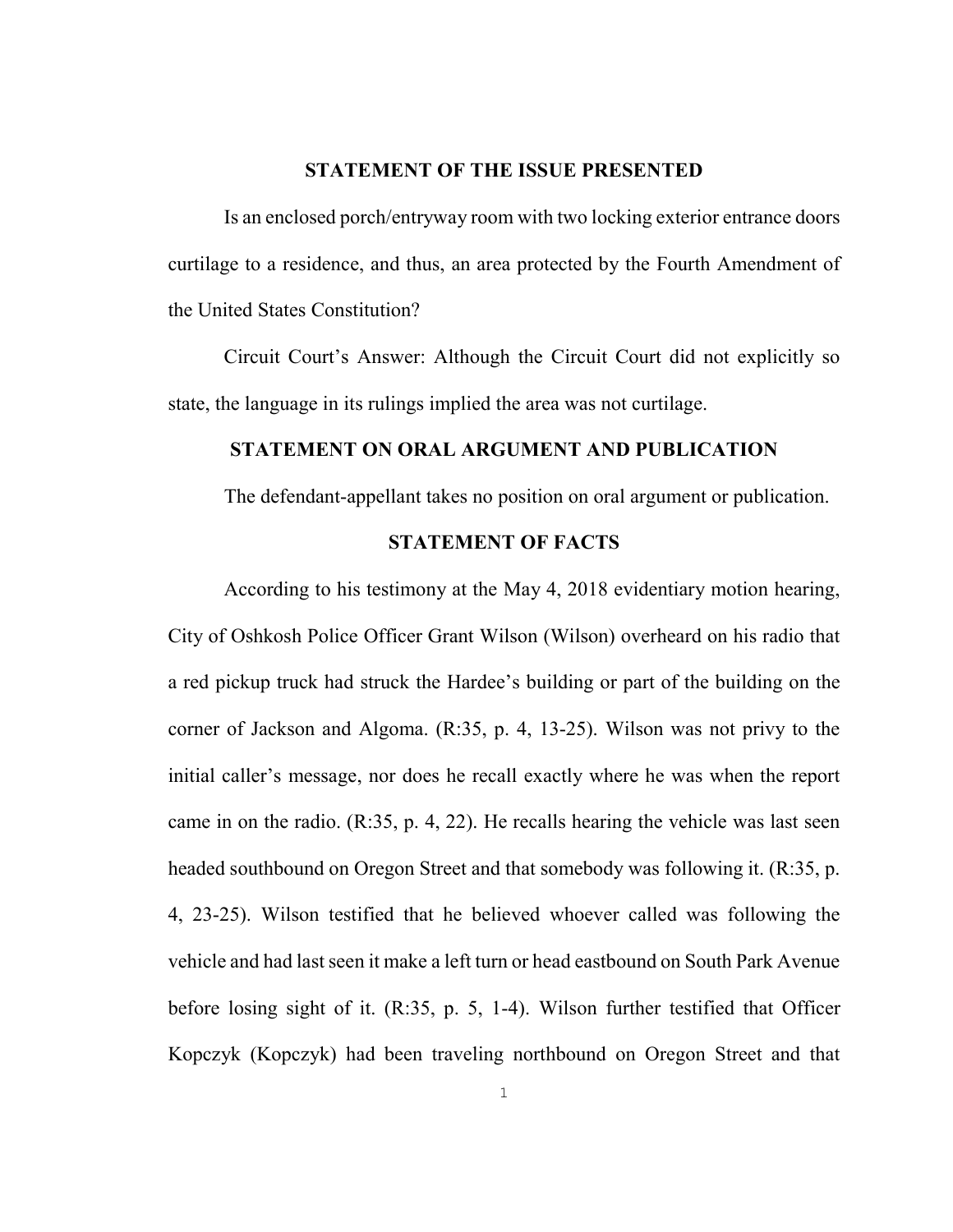#### <span id="page-5-0"></span>**STATEMENT OF THE ISSUE PRESENTED**

Is an enclosed porch/entryway room with two locking exterior entrance doors curtilage to a residence, and thus, an area protected by the Fourth Amendment of the United States Constitution?

Circuit Court's Answer: Although the Circuit Court did not explicitly so state, the language in its rulings implied the area was not curtilage.

## **STATEMENT ON ORAL ARGUMENT AND PUBLICATION**

The defendant-appellant takes no position on oral argument or publication.

## <span id="page-5-2"></span><span id="page-5-1"></span>**STATEMENT OF FACTS**

According to his testimony at the May 4, 2018 evidentiary motion hearing, City of Oshkosh Police Officer Grant Wilson (Wilson) overheard on his radio that a red pickup truck had struck the Hardee's building or part of the building on the corner of Jackson and Algoma. (R:35, p. 4, 13-25). Wilson was not privy to the initial caller's message, nor does he recall exactly where he was when the report came in on the radio. (R:35, p. 4, 22). He recalls hearing the vehicle was last seen headed southbound on Oregon Street and that somebody was following it. (R:35, p. 4, 23-25). Wilson testified that he believed whoever called was following the vehicle and had last seen it make a left turn or head eastbound on South Park Avenue before losing sight of it. (R:35, p. 5, 1-4). Wilson further testified that Officer Kopczyk (Kopczyk) had been traveling northbound on Oregon Street and that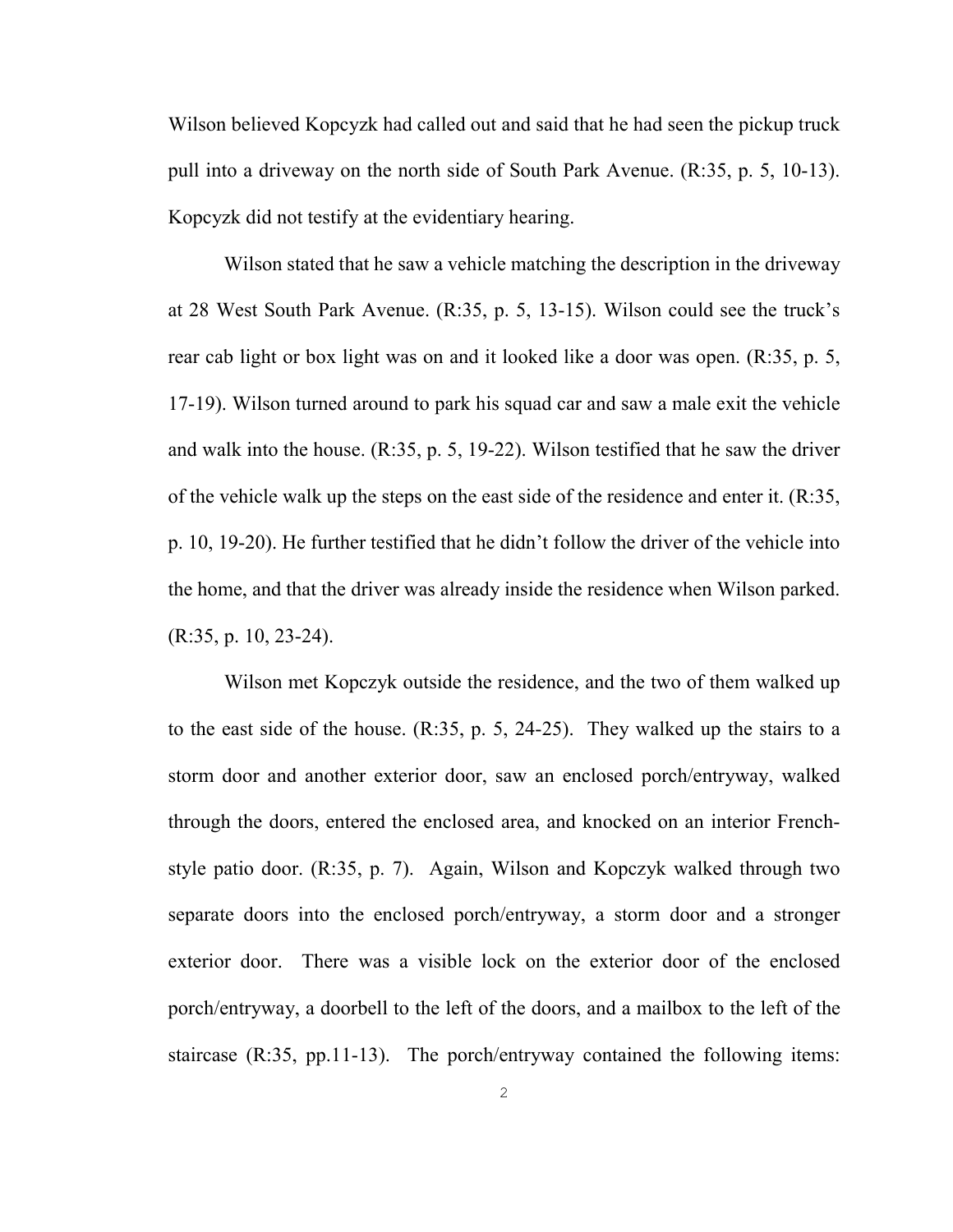Wilson believed Kopcyzk had called out and said that he had seen the pickup truck pull into a driveway on the north side of South Park Avenue. (R:35, p. 5, 10-13). Kopcyzk did not testify at the evidentiary hearing.

Wilson stated that he saw a vehicle matching the description in the driveway at 28 West South Park Avenue. (R:35, p. 5, 13-15). Wilson could see the truck's rear cab light or box light was on and it looked like a door was open. (R:35, p. 5, 17-19). Wilson turned around to park his squad car and saw a male exit the vehicle and walk into the house. (R:35, p. 5, 19-22). Wilson testified that he saw the driver of the vehicle walk up the steps on the east side of the residence and enter it.  $(R:35, R:35)$ p. 10, 19-20). He further testified that he didn't follow the driver of the vehicle into the home, and that the driver was already inside the residence when Wilson parked. (R:35, p. 10, 23-24).

Wilson met Kopczyk outside the residence, and the two of them walked up to the east side of the house. (R:35, p. 5, 24-25). They walked up the stairs to a storm door and another exterior door, saw an enclosed porch/entryway, walked through the doors, entered the enclosed area, and knocked on an interior Frenchstyle patio door. (R:35, p. 7). Again, Wilson and Kopczyk walked through two separate doors into the enclosed porch/entryway, a storm door and a stronger exterior door. There was a visible lock on the exterior door of the enclosed porch/entryway, a doorbell to the left of the doors, and a mailbox to the left of the staircase (R:35, pp.11-13). The porch/entryway contained the following items: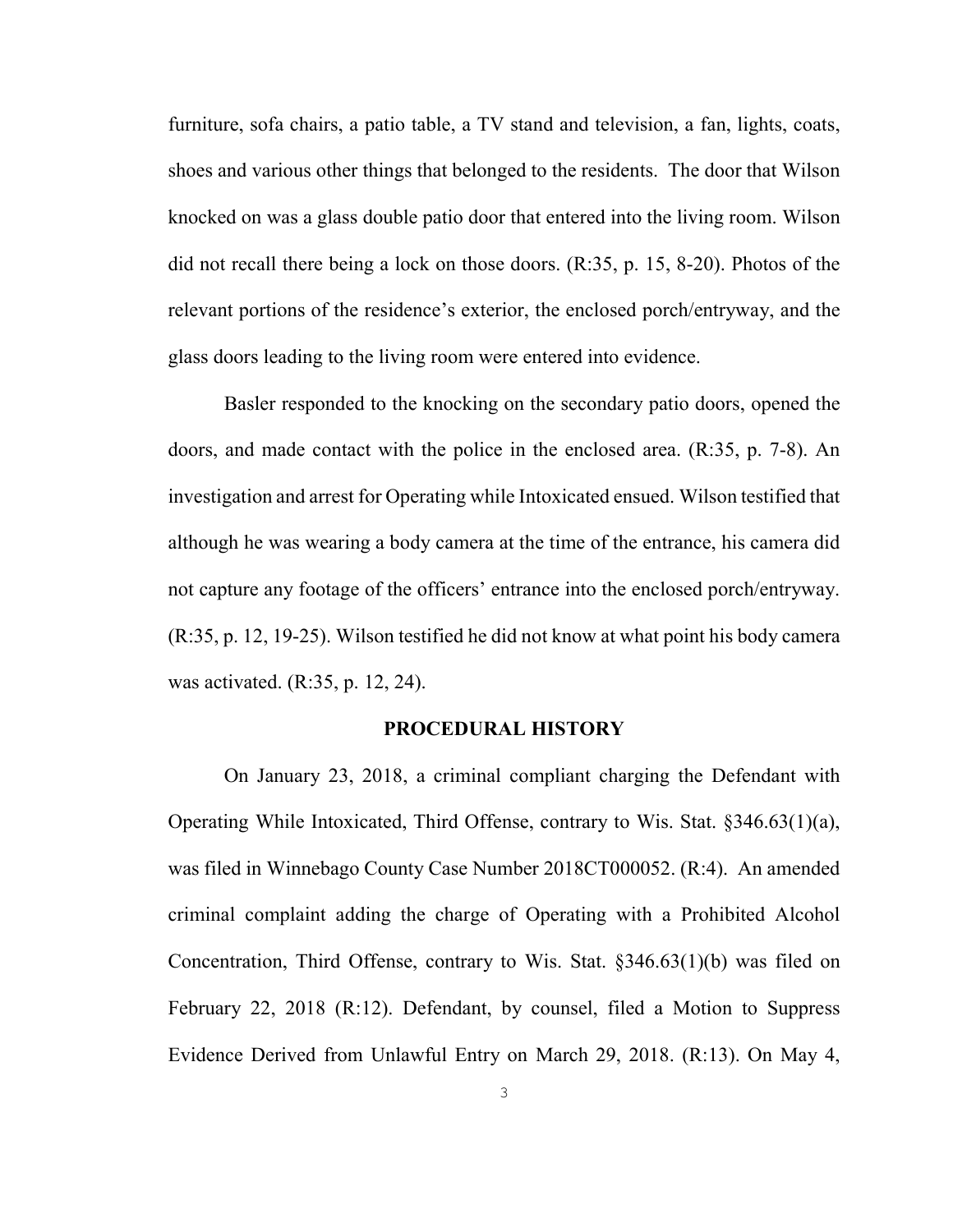furniture, sofa chairs, a patio table, a TV stand and television, a fan, lights, coats, shoes and various other things that belonged to the residents. The door that Wilson knocked on was a glass double patio door that entered into the living room. Wilson did not recall there being a lock on those doors. (R:35, p. 15, 8-20). Photos of the relevant portions of the residence's exterior, the enclosed porch/entryway, and the glass doors leading to the living room were entered into evidence.

Basler responded to the knocking on the secondary patio doors, opened the doors, and made contact with the police in the enclosed area. (R:35, p. 7-8). An investigation and arrest for Operating while Intoxicated ensued. Wilson testified that although he was wearing a body camera at the time of the entrance, his camera did not capture any footage of the officers' entrance into the enclosed porch/entryway. (R:35, p. 12, 19-25). Wilson testified he did not know at what point his body camera was activated. (R:35, p. 12, 24).

#### <span id="page-7-0"></span>**PROCEDURAL HISTORY**

On January 23, 2018, a criminal compliant charging the Defendant with Operating While Intoxicated, Third Offense, contrary to Wis. Stat. §346.63(1)(a), was filed in Winnebago County Case Number 2018CT000052. (R:4). An amended criminal complaint adding the charge of Operating with a Prohibited Alcohol Concentration, Third Offense, contrary to Wis. Stat. §346.63(1)(b) was filed on February 22, 2018 (R:12). Defendant, by counsel, filed a Motion to Suppress Evidence Derived from Unlawful Entry on March 29, 2018. (R:13). On May 4,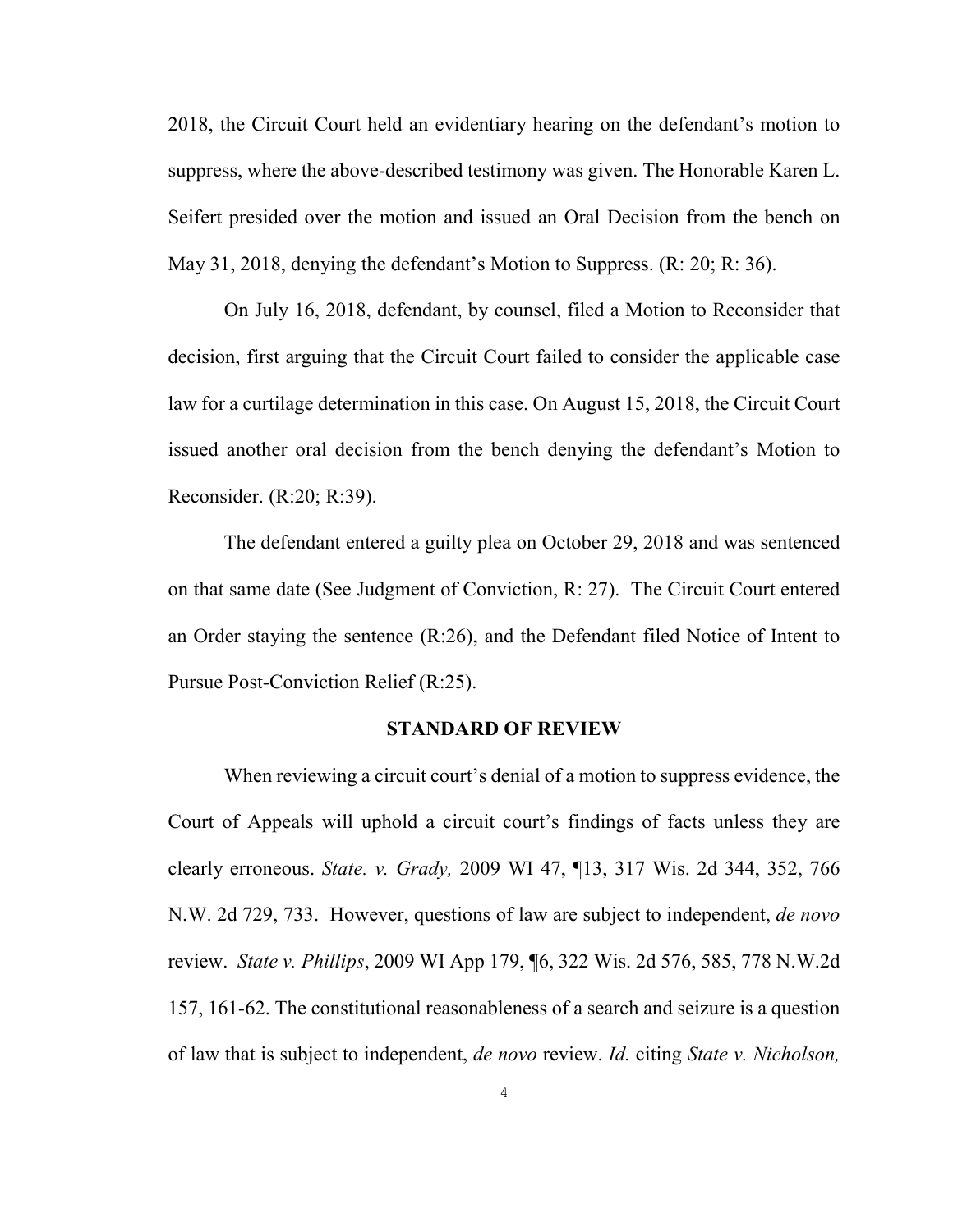2018, the Circuit Court held an evidentiary hearing on the defendant's motion to suppress, where the above-described testimony was given. The Honorable Karen L. Seifert presided over the motion and issued an Oral Decision from the bench on May 31, 2018, denying the defendant's Motion to Suppress. (R: 20; R: 36).

On July 16, 2018, defendant, by counsel, filed a Motion to Reconsider that decision, first arguing that the Circuit Court failed to consider the applicable case law for a curtilage determination in this case. On August 15, 2018, the Circuit Court issued another oral decision from the bench denying the defendant's Motion to Reconsider. (R:20; R:39).

The defendant entered a guilty plea on October 29, 2018 and was sentenced on that same date (See Judgment of Conviction, R: 27). The Circuit Court entered an Order staying the sentence (R:26), and the Defendant filed Notice of Intent to Pursue Post-Conviction Relief (R:25).

#### <span id="page-8-0"></span>**STANDARD OF REVIEW**

When reviewing a circuit court's denial of a motion to suppress evidence, the Court of Appeals will uphold a circuit court's findings of facts unless they are clearly erroneous. *State. v. Grady,* 2009 WI 47, ¶13, 317 Wis. 2d 344, 352, 766 N.W. 2d 729, 733. However, questions of law are subject to independent, *de novo*  review. *State v. Phillips*, 2009 WI App 179, ¶6, 322 Wis. 2d 576, 585, 778 N.W.2d 157, 161-62. The constitutional reasonableness of a search and seizure is a question of law that is subject to independent, *de novo* review. *Id.* citing *State v. Nicholson,*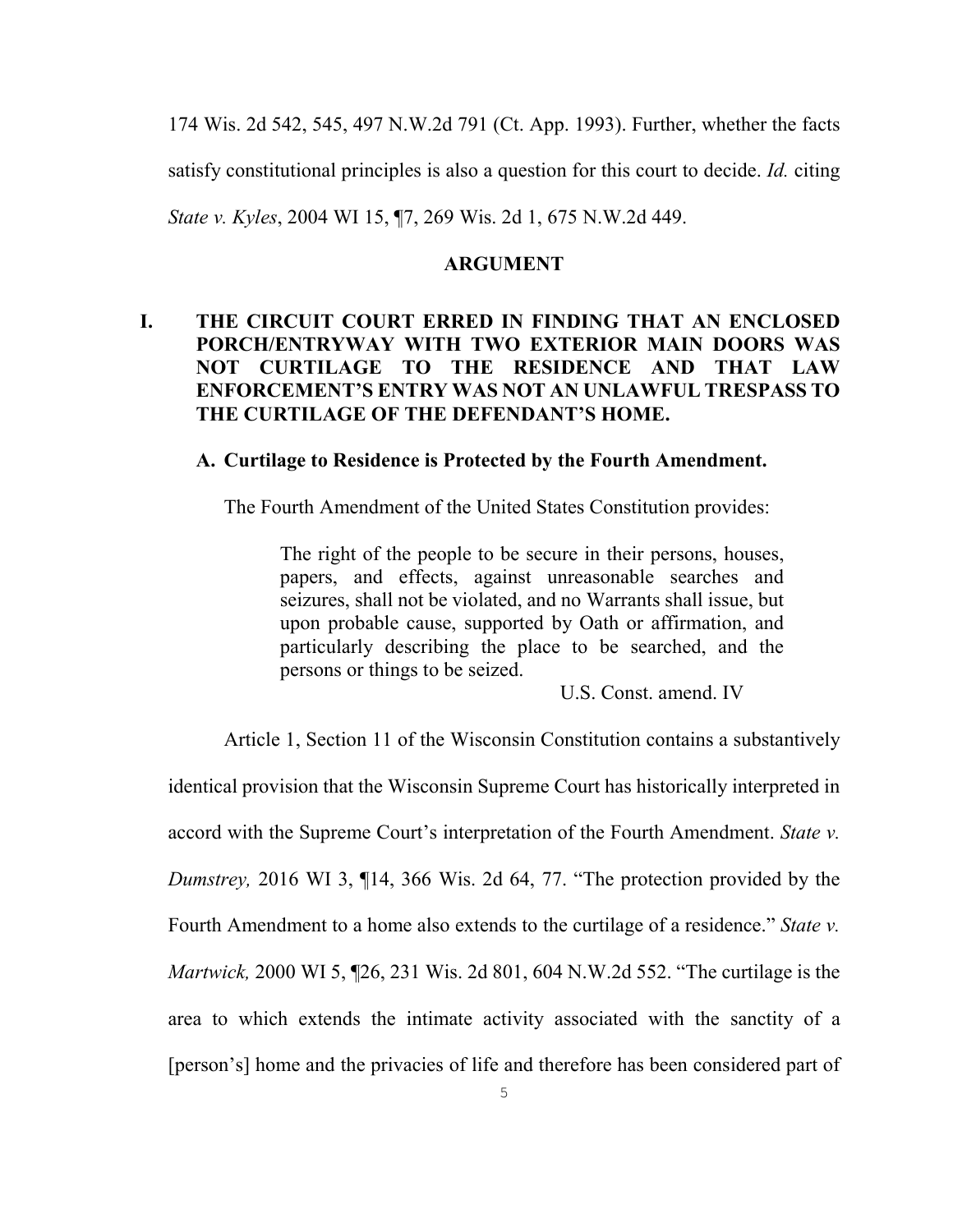174 Wis. 2d 542, 545, 497 N.W.2d 791 (Ct. App. 1993). Further, whether the facts satisfy constitutional principles is also a question for this court to decide. *Id.* citing *State v. Kyles*, 2004 WI 15, ¶7, 269 Wis. 2d 1, 675 N.W.2d 449.

#### <span id="page-9-1"></span><span id="page-9-0"></span>**ARGUMENT**

# **I. THE CIRCUIT COURT ERRED IN FINDING THAT AN ENCLOSED PORCH/ENTRYWAY WITH TWO EXTERIOR MAIN DOORS WAS NOT CURTILAGE TO THE RESIDENCE AND THAT LAW ENFORCEMENT'S ENTRY WAS NOT AN UNLAWFUL TRESPASS TO THE CURTILAGE OF THE DEFENDANT'S HOME.**

#### **A. Curtilage to Residence is Protected by the Fourth Amendment.**

The Fourth Amendment of the United States Constitution provides:

The right of the people to be secure in their persons, houses, papers, and effects, against unreasonable searches and seizures, shall not be violated, and no Warrants shall issue, but upon probable cause, supported by Oath or affirmation, and particularly describing the place to be searched, and the persons or things to be seized.

<span id="page-9-2"></span>U.S. Const. amend. IV

Article 1, Section 11 of the Wisconsin Constitution contains a substantively

identical provision that the Wisconsin Supreme Court has historically interpreted in accord with the Supreme Court's interpretation of the Fourth Amendment. *State v. Dumstrey,* 2016 WI 3, ¶14, 366 Wis. 2d 64, 77. "The protection provided by the Fourth Amendment to a home also extends to the curtilage of a residence." *State v. Martwick,* 2000 WI 5, ¶26, 231 Wis. 2d 801, 604 N.W.2d 552. "The curtilage is the area to which extends the intimate activity associated with the sanctity of a [person's] home and the privacies of life and therefore has been considered part of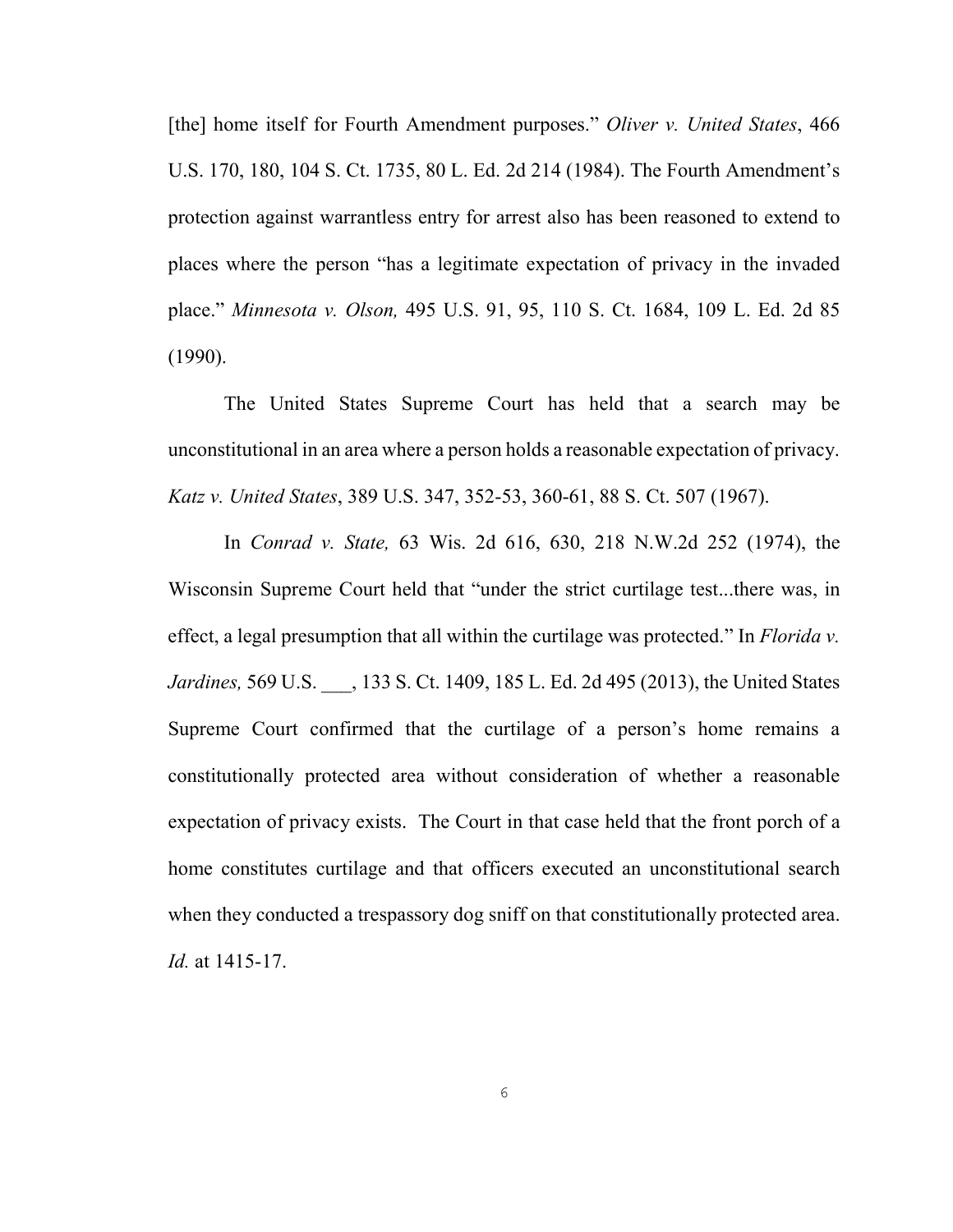[the] home itself for Fourth Amendment purposes." *Oliver v. United States*, 466 U.S. 170, 180, 104 S. Ct. 1735, 80 L. Ed. 2d 214 (1984). The Fourth Amendment's protection against warrantless entry for arrest also has been reasoned to extend to places where the person "has a legitimate expectation of privacy in the invaded place." *Minnesota v. Olson,* 495 U.S. 91, 95, 110 S. Ct. 1684, 109 L. Ed. 2d 85 (1990).

The United States Supreme Court has held that a search may be unconstitutional in an area where a person holds a reasonable expectation of privacy. *Katz v. United States*, 389 U.S. 347, 352-53, 360-61, 88 S. Ct. 507 (1967).

In *Conrad v. State,* 63 Wis. 2d 616, 630, 218 N.W.2d 252 (1974), the Wisconsin Supreme Court held that "under the strict curtilage test...there was, in effect, a legal presumption that all within the curtilage was protected." In *Florida v. Jardines,* 569 U.S. \_\_\_, 133 S. Ct. 1409, 185 L. Ed. 2d 495 (2013), the United States Supreme Court confirmed that the curtilage of a person's home remains a constitutionally protected area without consideration of whether a reasonable expectation of privacy exists. The Court in that case held that the front porch of a home constitutes curtilage and that officers executed an unconstitutional search when they conducted a trespassory dog sniff on that constitutionally protected area. *Id.* at 1415-17.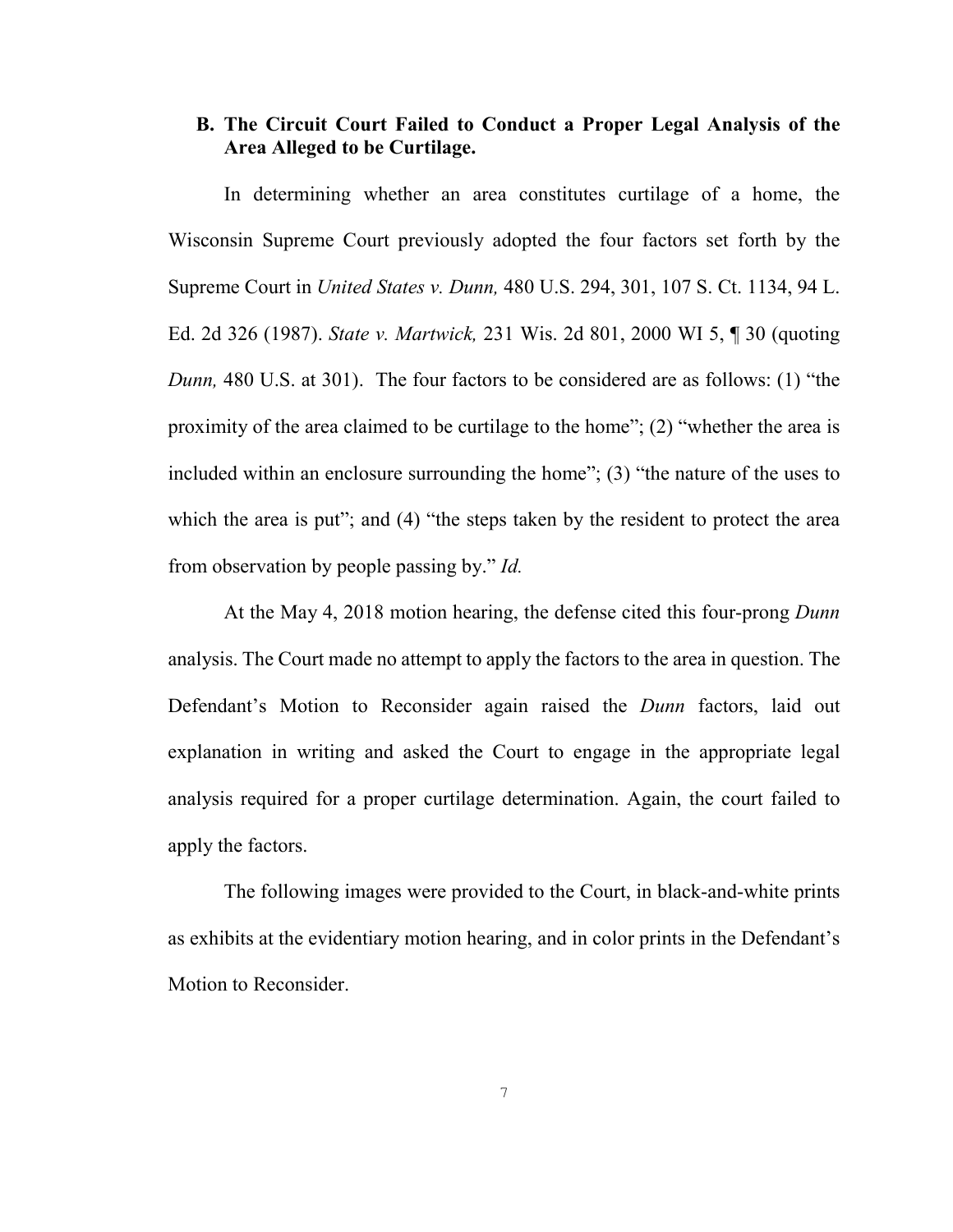# <span id="page-11-0"></span>**B. The Circuit Court Failed to Conduct a Proper Legal Analysis of the Area Alleged to be Curtilage.**

In determining whether an area constitutes curtilage of a home, the Wisconsin Supreme Court previously adopted the four factors set forth by the Supreme Court in *United States v. Dunn,* 480 U.S. 294, 301, 107 S. Ct. 1134, 94 L. Ed. 2d 326 (1987). *State v. Martwick,* 231 Wis. 2d 801, 2000 WI 5, ¶ 30 (quoting *Dunn,* 480 U.S. at 301). The four factors to be considered are as follows: (1) "the proximity of the area claimed to be curtilage to the home"; (2) "whether the area is included within an enclosure surrounding the home"; (3) "the nature of the uses to which the area is put"; and (4) "the steps taken by the resident to protect the area from observation by people passing by." *Id.* 

At the May 4, 2018 motion hearing, the defense cited this four-prong *Dunn*  analysis. The Court made no attempt to apply the factors to the area in question. The Defendant's Motion to Reconsider again raised the *Dunn* factors, laid out explanation in writing and asked the Court to engage in the appropriate legal analysis required for a proper curtilage determination. Again, the court failed to apply the factors.

The following images were provided to the Court, in black-and-white prints as exhibits at the evidentiary motion hearing, and in color prints in the Defendant's Motion to Reconsider.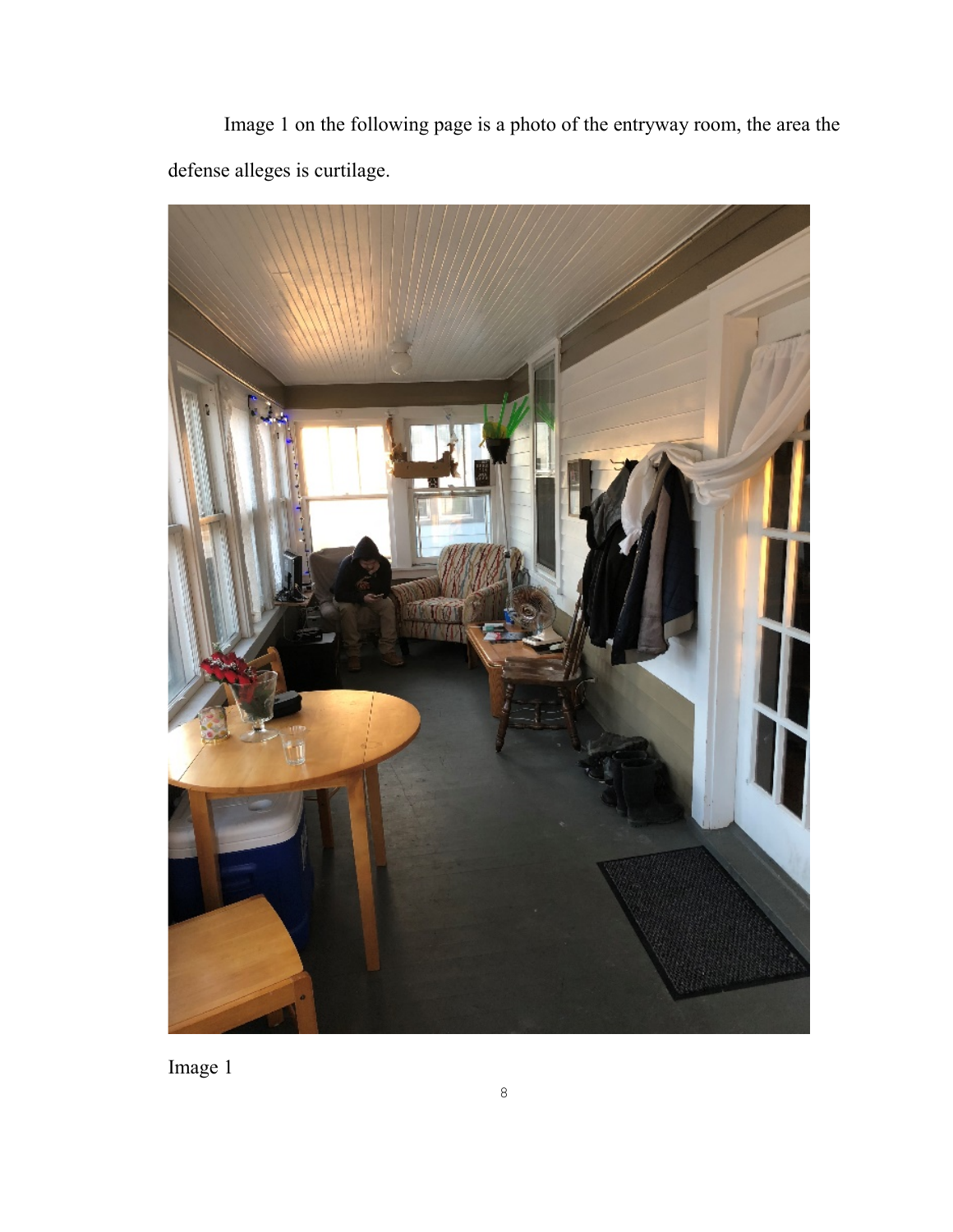Image 1 on the following page is a photo of the entryway room, the area the defense alleges is curtilage.



Image 1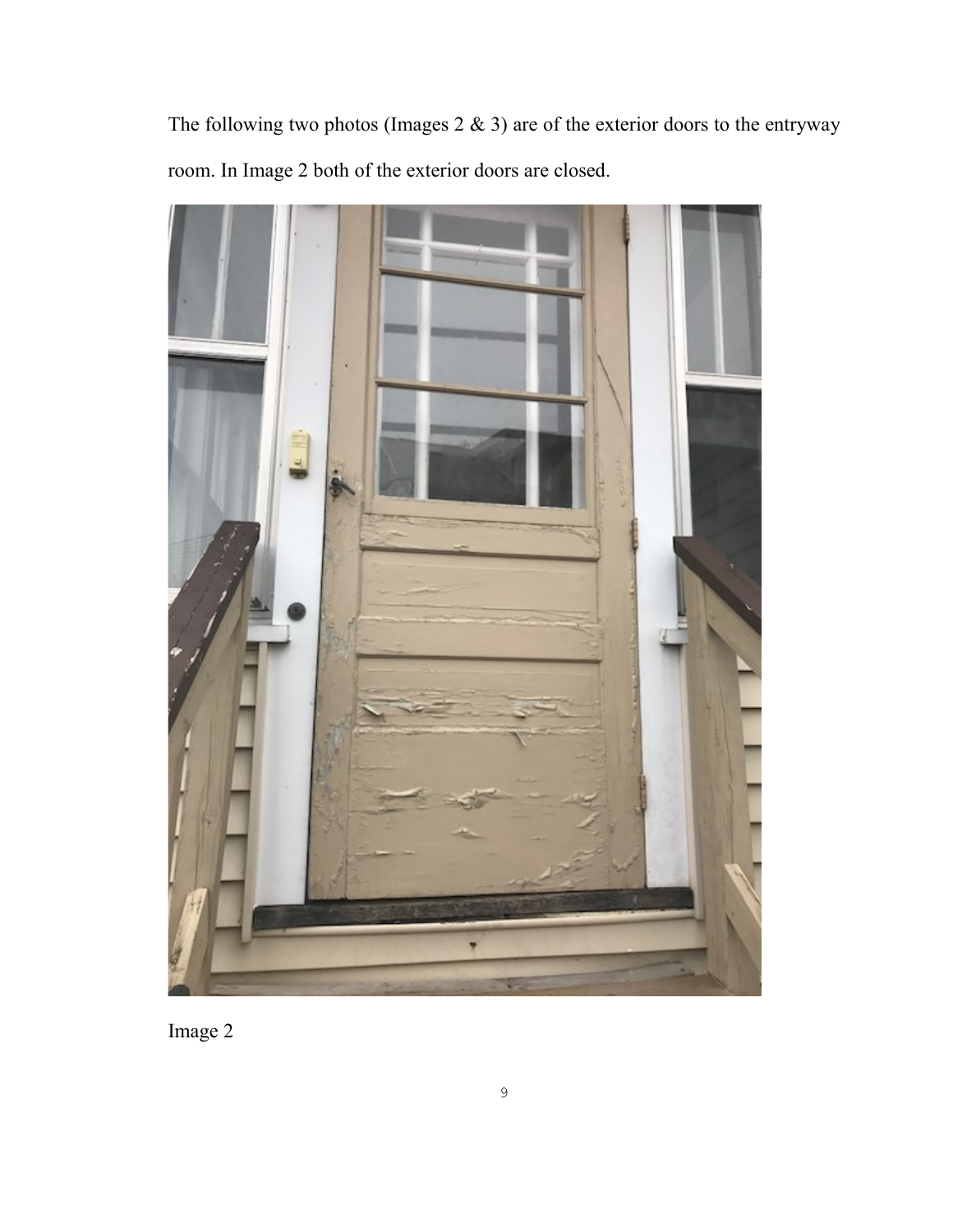The following two photos (Images  $2 \& 3$ ) are of the exterior doors to the entryway room. In Image 2 both of the exterior doors are closed.



Image 2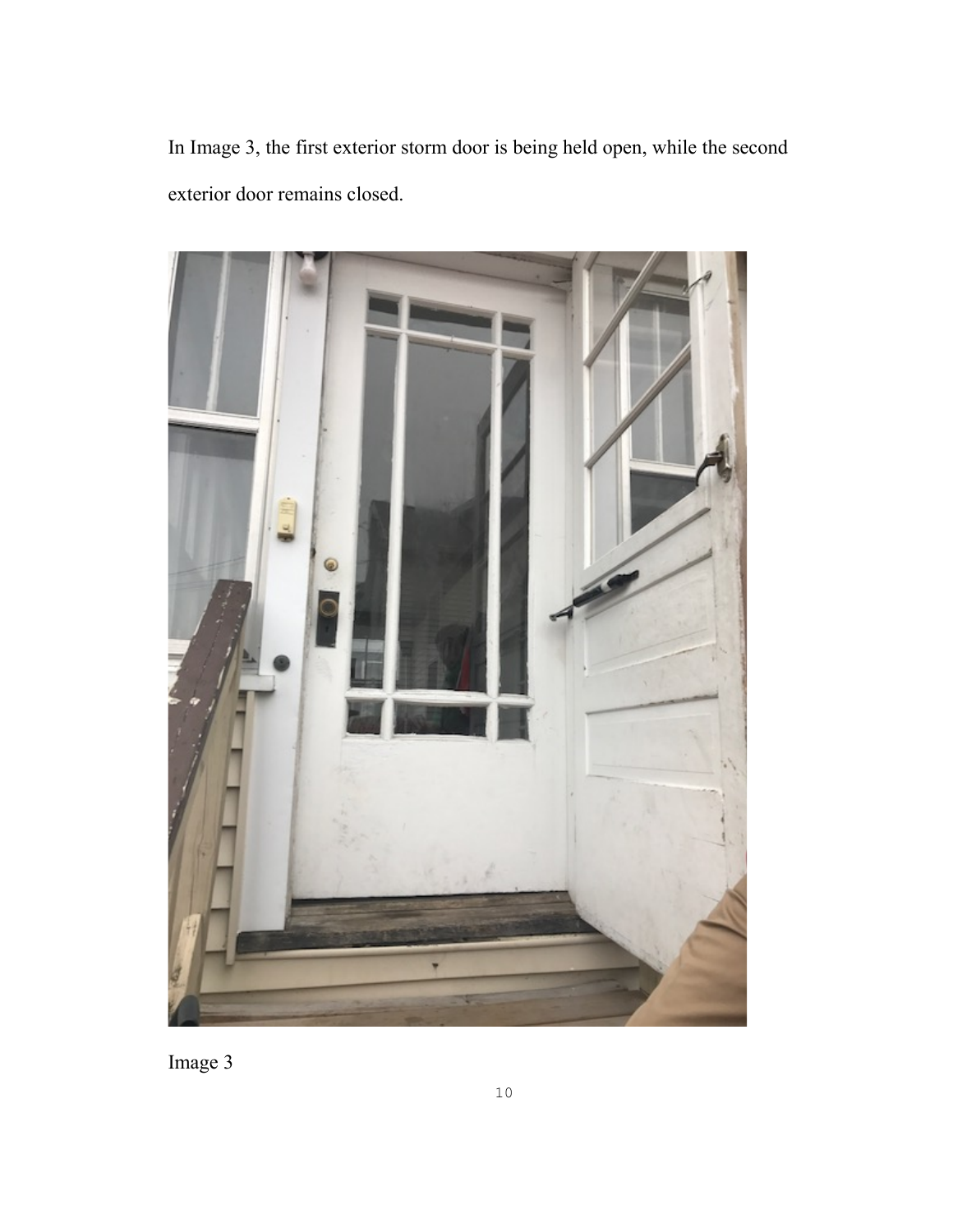In Image 3, the first exterior storm door is being held open, while the second exterior door remains closed.



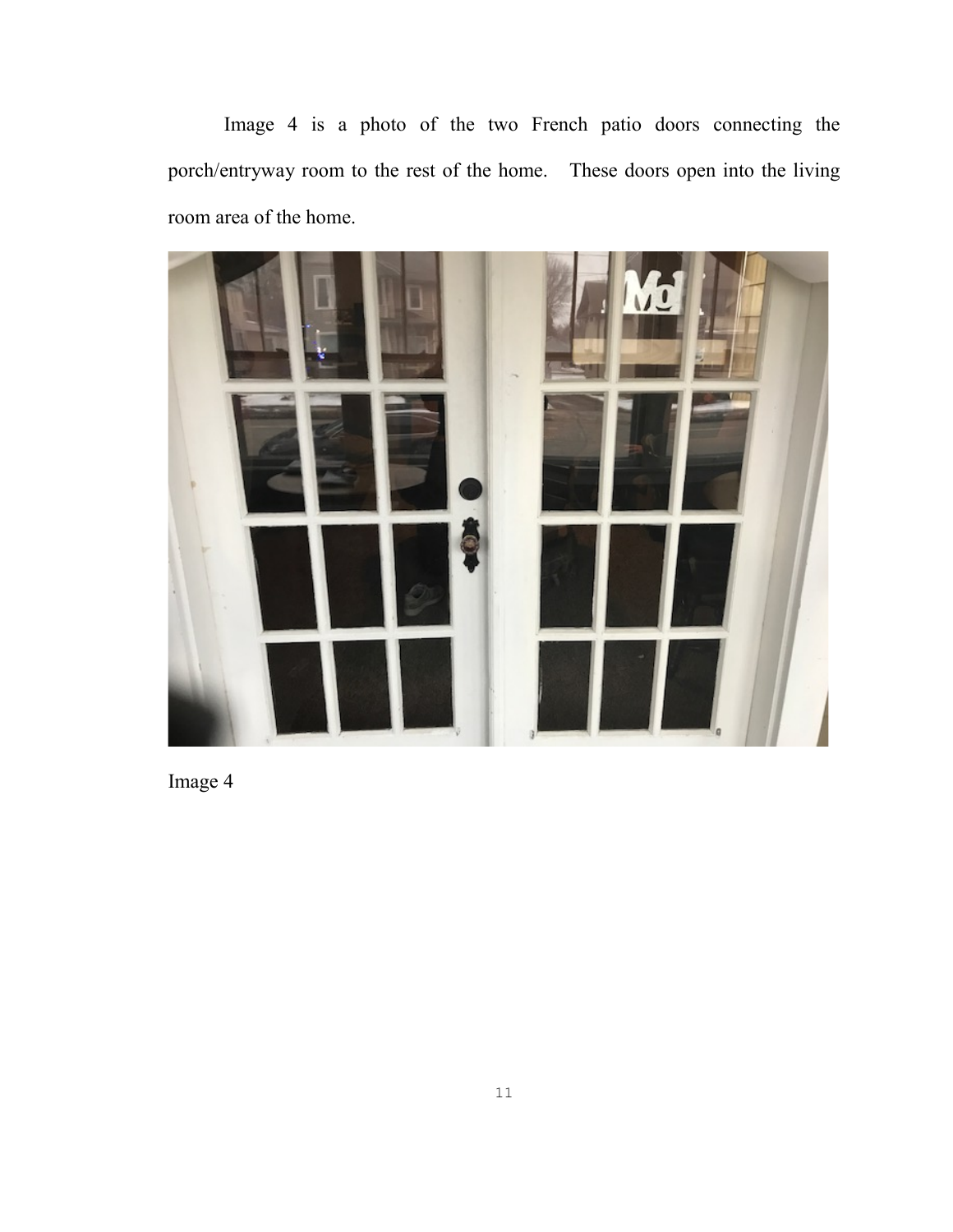Image 4 is a photo of the two French patio doors connecting the porch/entryway room to the rest of the home. These doors open into the living room area of the home.



Image 4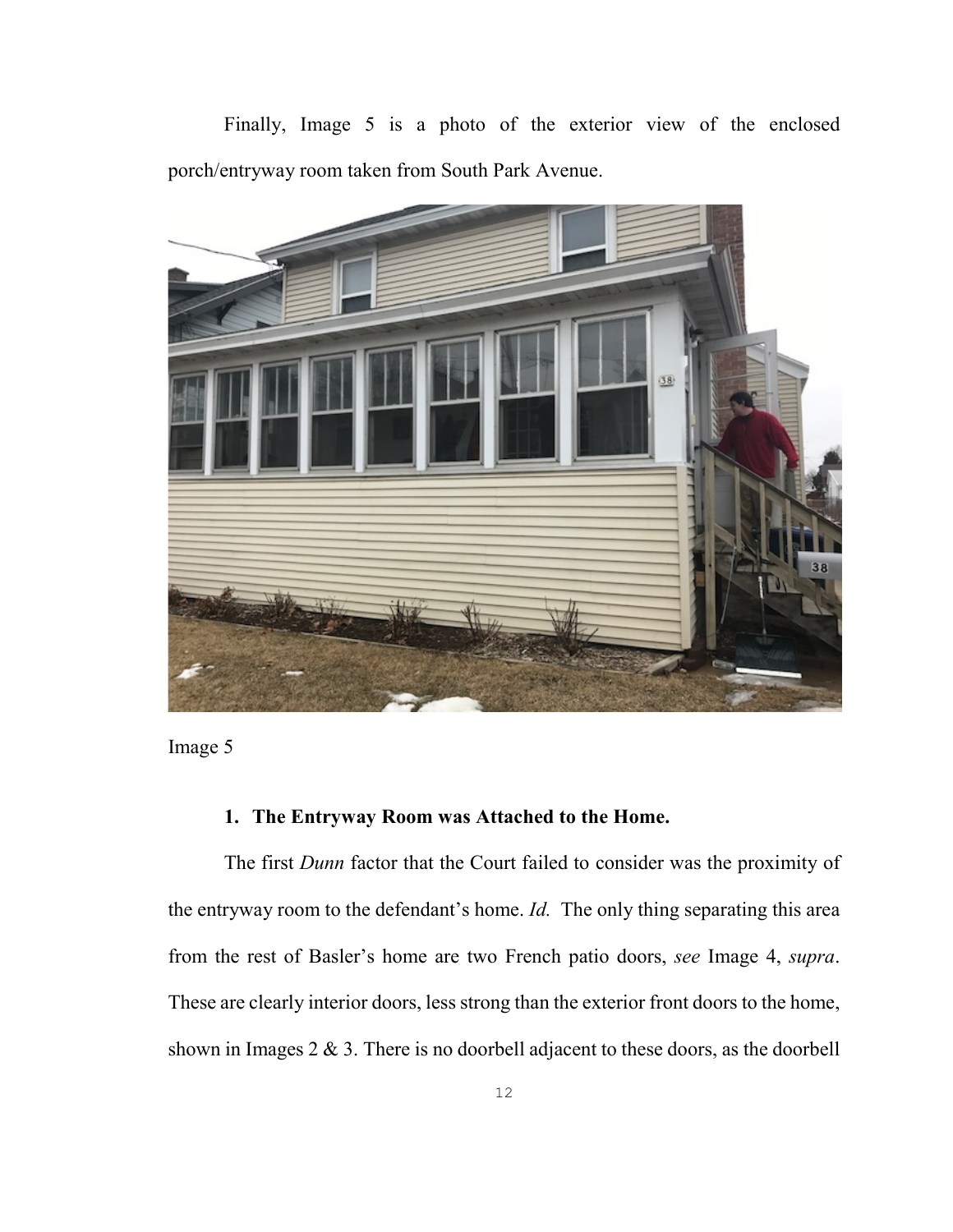Finally, Image 5 is a photo of the exterior view of the enclosed porch/entryway room taken from South Park Avenue.





# <span id="page-16-0"></span>**1. The Entryway Room was Attached to the Home.**

The first *Dunn* factor that the Court failed to consider was the proximity of the entryway room to the defendant's home. *Id.* The only thing separating this area from the rest of Basler's home are two French patio doors, *see* Image 4, *supra*. These are clearly interior doors, less strong than the exterior front doors to the home, shown in Images  $2 \& 3$ . There is no doorbell adjacent to these doors, as the doorbell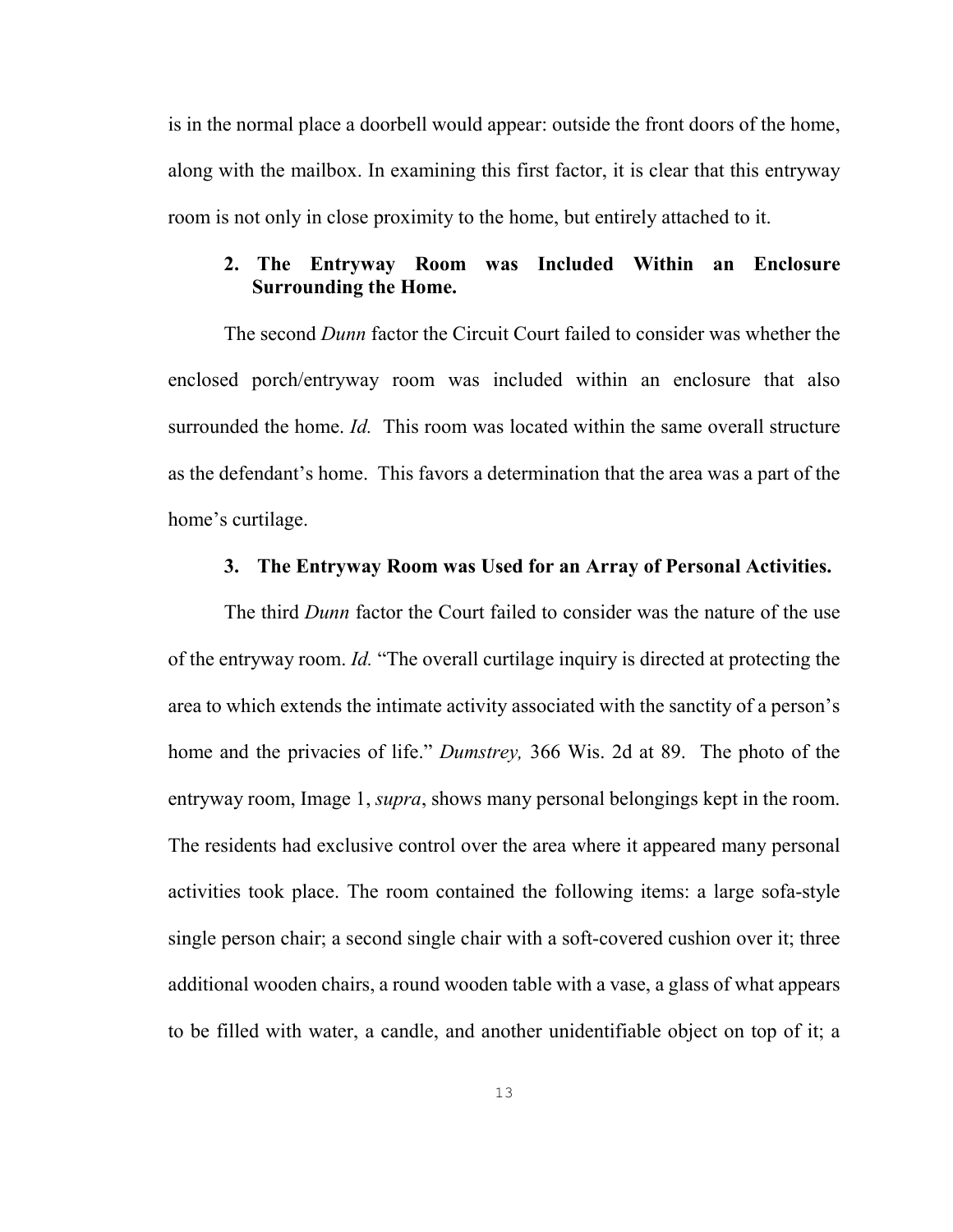is in the normal place a doorbell would appear: outside the front doors of the home, along with the mailbox. In examining this first factor, it is clear that this entryway room is not only in close proximity to the home, but entirely attached to it.

# <span id="page-17-0"></span>**2. The Entryway Room was Included Within an Enclosure Surrounding the Home.**

The second *Dunn* factor the Circuit Court failed to consider was whether the enclosed porch/entryway room was included within an enclosure that also surrounded the home. *Id.* This room was located within the same overall structure as the defendant's home. This favors a determination that the area was a part of the home's curtilage.

#### <span id="page-17-1"></span>**3. The Entryway Room was Used for an Array of Personal Activities.**

The third *Dunn* factor the Court failed to consider was the nature of the use of the entryway room. *Id.* "The overall curtilage inquiry is directed at protecting the area to which extends the intimate activity associated with the sanctity of a person's home and the privacies of life." *Dumstrey,* 366 Wis. 2d at 89.The photo of the entryway room, Image 1, *supra*, shows many personal belongings kept in the room. The residents had exclusive control over the area where it appeared many personal activities took place. The room contained the following items: a large sofa-style single person chair; a second single chair with a soft-covered cushion over it; three additional wooden chairs, a round wooden table with a vase, a glass of what appears to be filled with water, a candle, and another unidentifiable object on top of it; a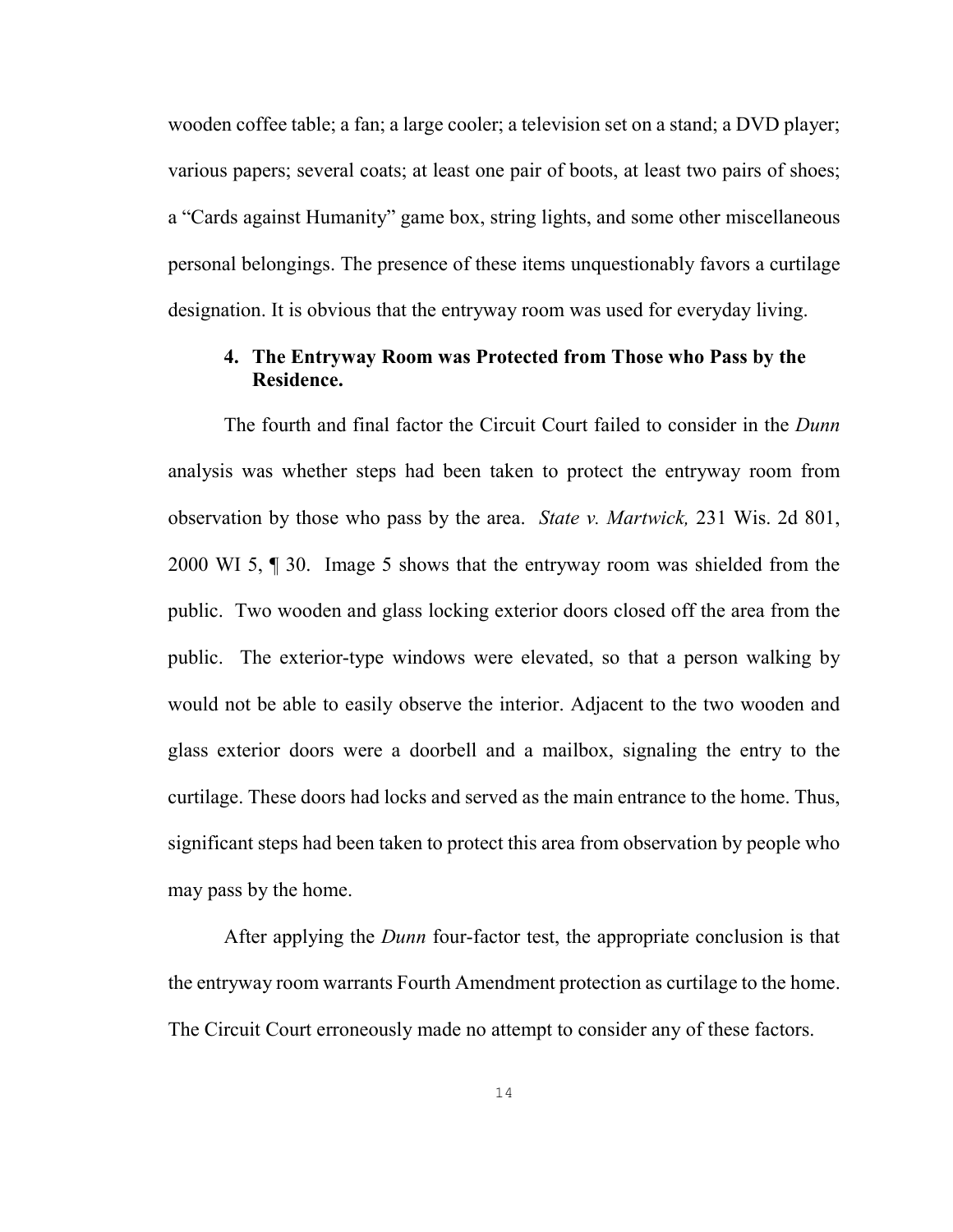wooden coffee table; a fan; a large cooler; a television set on a stand; a DVD player; various papers; several coats; at least one pair of boots, at least two pairs of shoes; a "Cards against Humanity" game box, string lights, and some other miscellaneous personal belongings. The presence of these items unquestionably favors a curtilage designation. It is obvious that the entryway room was used for everyday living.

# <span id="page-18-0"></span>**4. The Entryway Room was Protected from Those who Pass by the Residence.**

The fourth and final factor the Circuit Court failed to consider in the *Dunn*  analysis was whether steps had been taken to protect the entryway room from observation by those who pass by the area. *State v. Martwick,* 231 Wis. 2d 801, 2000 WI 5, ¶ 30. Image 5 shows that the entryway room was shielded from the public. Two wooden and glass locking exterior doors closed off the area from the public. The exterior-type windows were elevated, so that a person walking by would not be able to easily observe the interior. Adjacent to the two wooden and glass exterior doors were a doorbell and a mailbox, signaling the entry to the curtilage. These doors had locks and served as the main entrance to the home. Thus, significant steps had been taken to protect this area from observation by people who may pass by the home.

After applying the *Dunn* four-factor test, the appropriate conclusion is that the entryway room warrants Fourth Amendment protection as curtilage to the home. The Circuit Court erroneously made no attempt to consider any of these factors.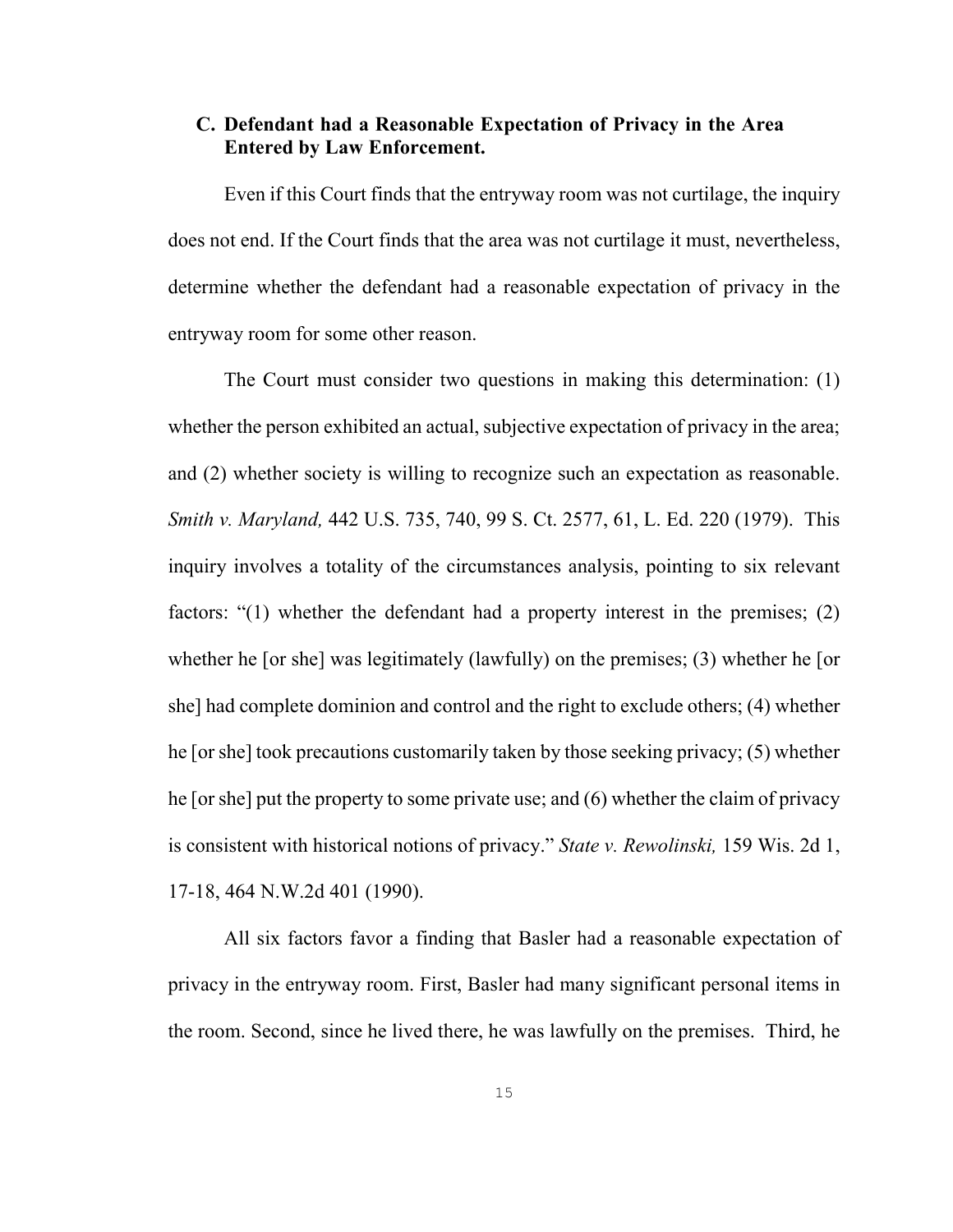# <span id="page-19-0"></span>**C. Defendant had a Reasonable Expectation of Privacy in the Area Entered by Law Enforcement.**

Even if this Court finds that the entryway room was not curtilage, the inquiry does not end. If the Court finds that the area was not curtilage it must, nevertheless, determine whether the defendant had a reasonable expectation of privacy in the entryway room for some other reason.

The Court must consider two questions in making this determination: (1) whether the person exhibited an actual, subjective expectation of privacy in the area; and (2) whether society is willing to recognize such an expectation as reasonable. *Smith v. Maryland,* 442 U.S. 735, 740, 99 S. Ct. 2577, 61, L. Ed. 220 (1979). This inquiry involves a totality of the circumstances analysis, pointing to six relevant factors: "(1) whether the defendant had a property interest in the premises; (2) whether he [or she] was legitimately (lawfully) on the premises; (3) whether he [or she] had complete dominion and control and the right to exclude others; (4) whether he [or she] took precautions customarily taken by those seeking privacy; (5) whether he [or she] put the property to some private use; and (6) whether the claim of privacy is consistent with historical notions of privacy." *State v. Rewolinski,* 159 Wis. 2d 1, 17-18, 464 N.W.2d 401 (1990).

All six factors favor a finding that Basler had a reasonable expectation of privacy in the entryway room. First, Basler had many significant personal items in the room. Second, since he lived there, he was lawfully on the premises. Third, he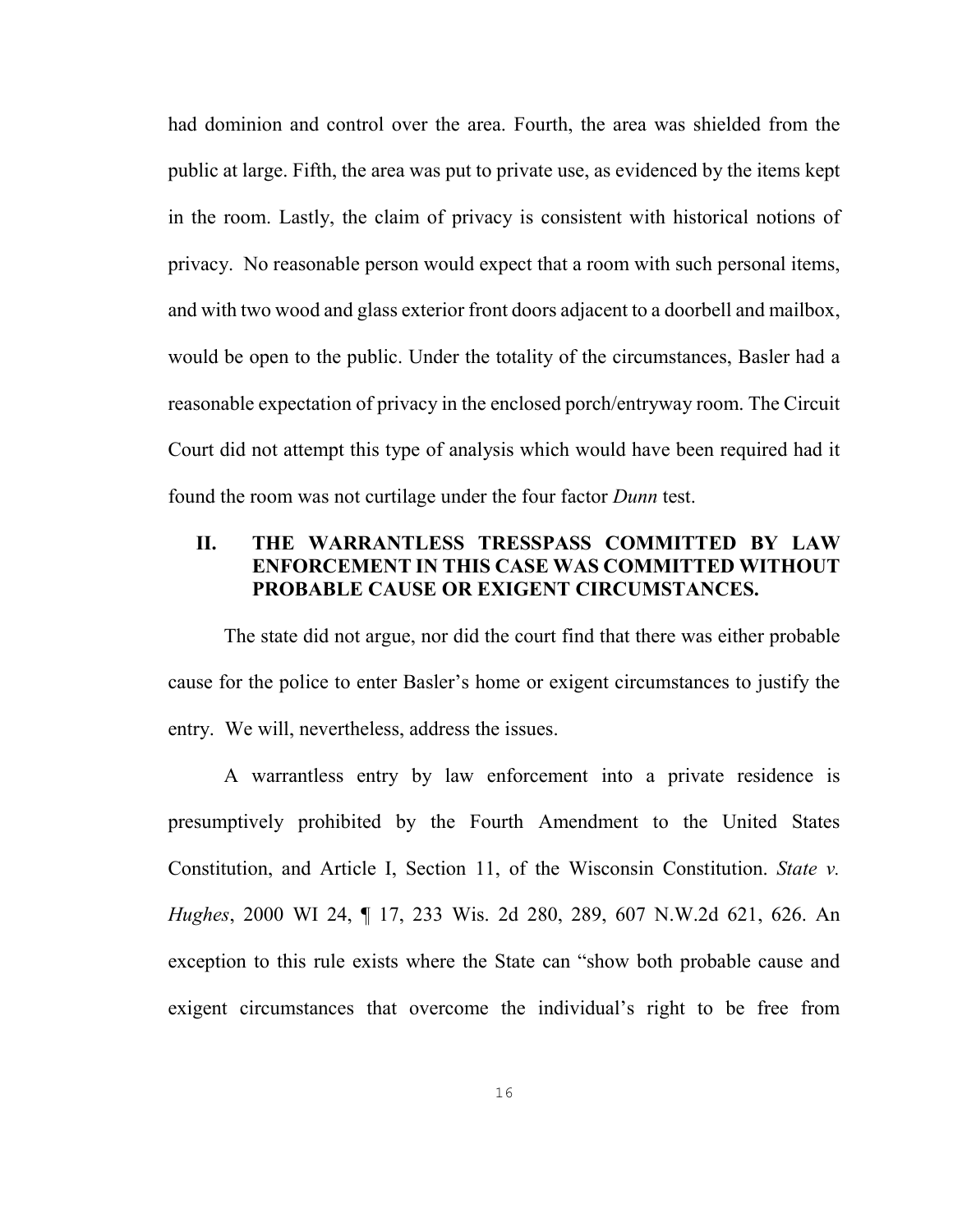had dominion and control over the area. Fourth, the area was shielded from the public at large. Fifth, the area was put to private use, as evidenced by the items kept in the room. Lastly, the claim of privacy is consistent with historical notions of privacy. No reasonable person would expect that a room with such personal items, and with two wood and glass exterior front doors adjacent to a doorbell and mailbox, would be open to the public. Under the totality of the circumstances, Basler had a reasonable expectation of privacy in the enclosed porch/entryway room. The Circuit Court did not attempt this type of analysis which would have been required had it found the room was not curtilage under the four factor *Dunn* test.

# <span id="page-20-0"></span>**II. THE WARRANTLESS TRESSPASS COMMITTED BY LAW ENFORCEMENT IN THIS CASE WAS COMMITTED WITHOUT PROBABLE CAUSE OR EXIGENT CIRCUMSTANCES.**

The state did not argue, nor did the court find that there was either probable cause for the police to enter Basler's home or exigent circumstances to justify the entry. We will, nevertheless, address the issues.

A warrantless entry by law enforcement into a private residence is presumptively prohibited by the Fourth Amendment to the United States Constitution, and Article I, Section 11, of the Wisconsin Constitution. *State v. Hughes*, 2000 WI 24, ¶ 17, 233 Wis. 2d 280, 289, 607 N.W.2d 621, 626. An exception to this rule exists where the State can "show both probable cause and exigent circumstances that overcome the individual's right to be free from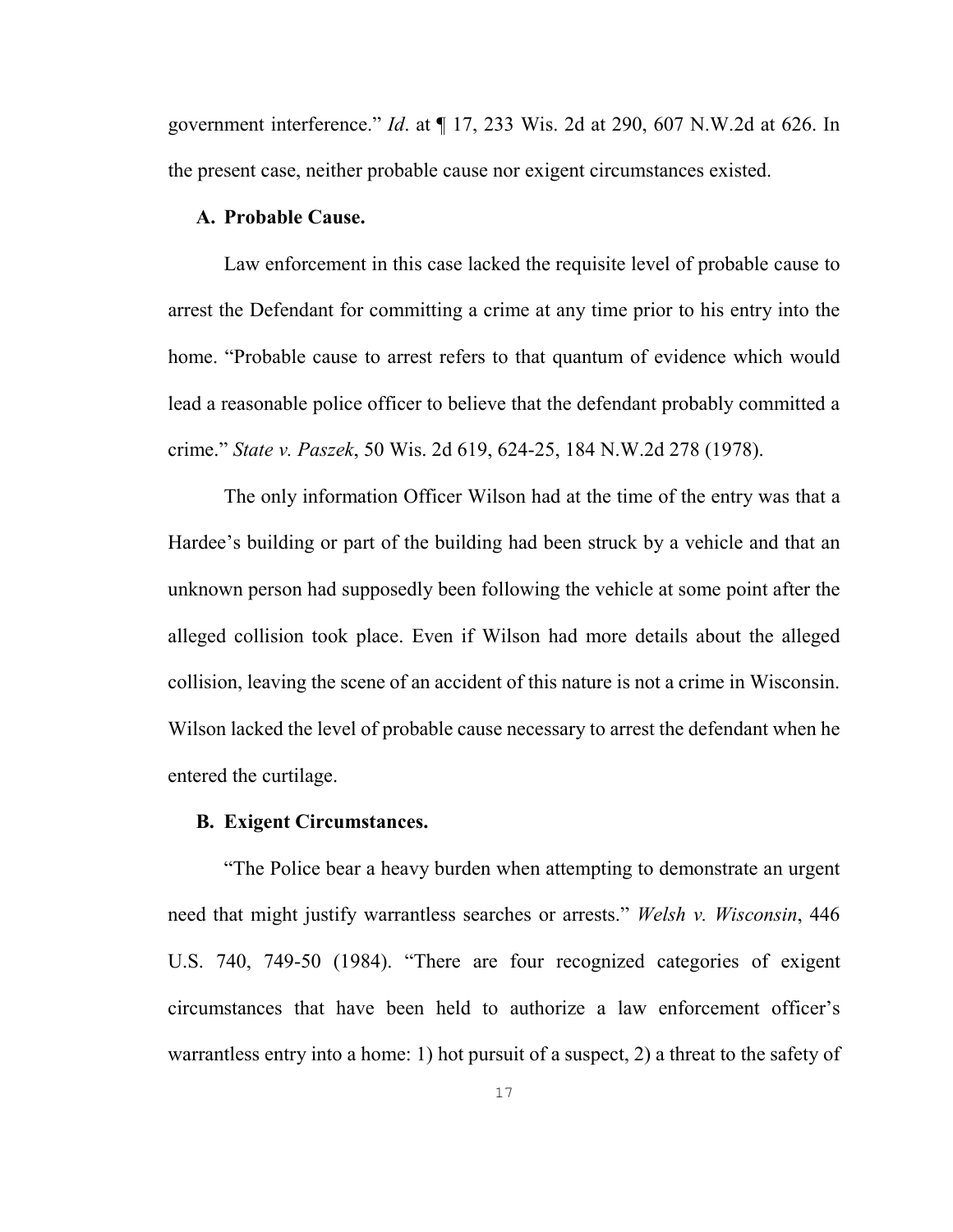government interference." *Id*. at ¶ 17, 233 Wis. 2d at 290, 607 N.W.2d at 626. In the present case, neither probable cause nor exigent circumstances existed.

## <span id="page-21-0"></span>**A. Probable Cause.**

Law enforcement in this case lacked the requisite level of probable cause to arrest the Defendant for committing a crime at any time prior to his entry into the home. "Probable cause to arrest refers to that quantum of evidence which would lead a reasonable police officer to believe that the defendant probably committed a crime." *State v. Paszek*, 50 Wis. 2d 619, 624-25, 184 N.W.2d 278 (1978).

The only information Officer Wilson had at the time of the entry was that a Hardee's building or part of the building had been struck by a vehicle and that an unknown person had supposedly been following the vehicle at some point after the alleged collision took place. Even if Wilson had more details about the alleged collision, leaving the scene of an accident of this nature is not a crime in Wisconsin. Wilson lacked the level of probable cause necessary to arrest the defendant when he entered the curtilage.

# <span id="page-21-1"></span>**B. Exigent Circumstances.**

"The Police bear a heavy burden when attempting to demonstrate an urgent need that might justify warrantless searches or arrests." *Welsh v. Wisconsin*, 446 U.S. 740, 749-50 (1984). "There are four recognized categories of exigent circumstances that have been held to authorize a law enforcement officer's warrantless entry into a home: 1) hot pursuit of a suspect, 2) a threat to the safety of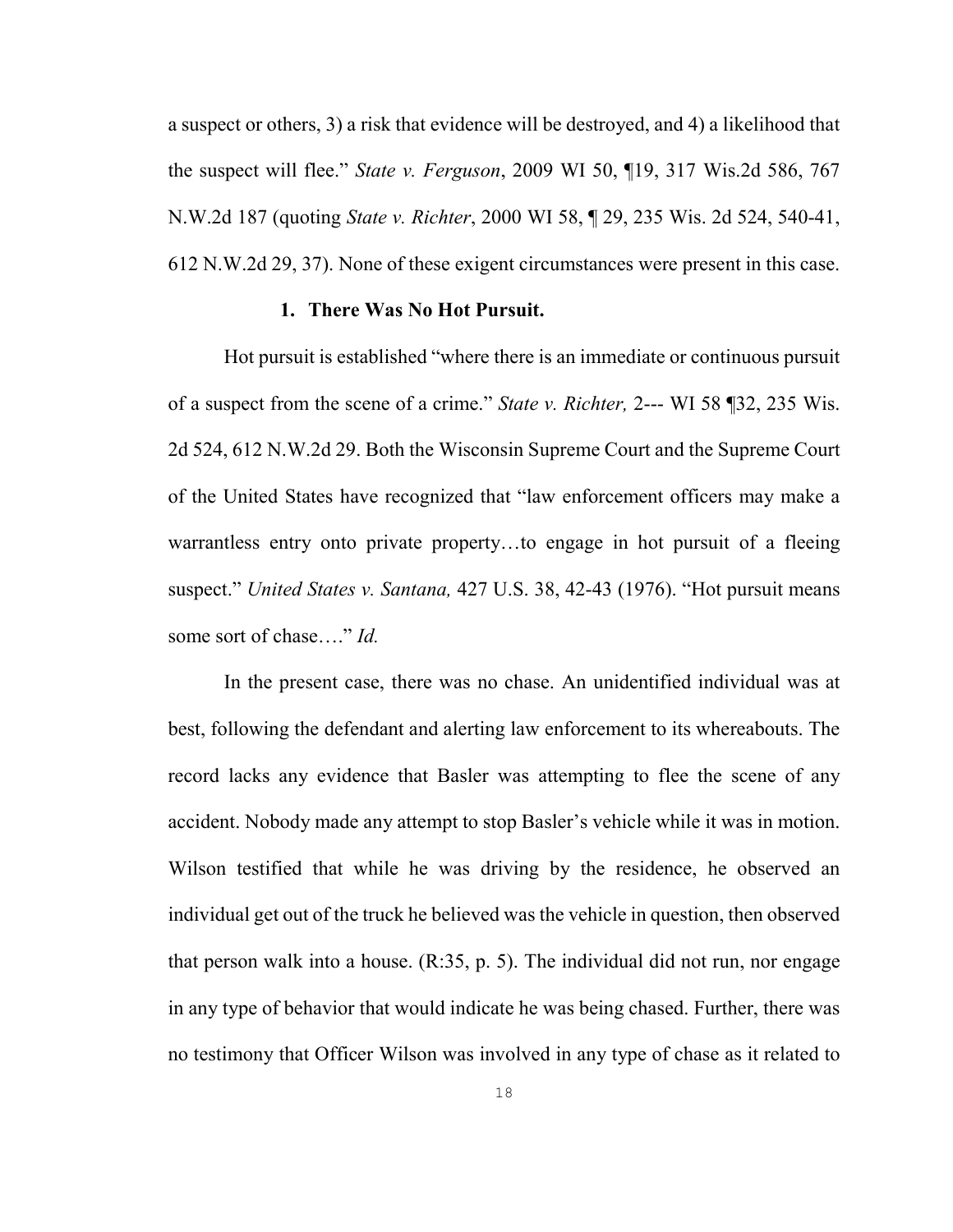a suspect or others, 3) a risk that evidence will be destroyed, and 4) a likelihood that the suspect will flee." *State v. Ferguson*, 2009 WI 50, ¶19, 317 Wis.2d 586, 767 N.W.2d 187 (quoting *State v. Richter*, 2000 WI 58, ¶ 29, 235 Wis. 2d 524, 540-41, 612 N.W.2d 29, 37). None of these exigent circumstances were present in this case.

#### <span id="page-22-0"></span>**1. There Was No Hot Pursuit.**

Hot pursuit is established "where there is an immediate or continuous pursuit of a suspect from the scene of a crime." *State v. Richter,* 2--- WI 58 ¶32, 235 Wis. 2d 524, 612 N.W.2d 29. Both the Wisconsin Supreme Court and the Supreme Court of the United States have recognized that "law enforcement officers may make a warrantless entry onto private property…to engage in hot pursuit of a fleeing suspect." *United States v. Santana,* 427 U.S. 38, 42-43 (1976). "Hot pursuit means some sort of chase…." *Id.* 

In the present case, there was no chase. An unidentified individual was at best, following the defendant and alerting law enforcement to its whereabouts. The record lacks any evidence that Basler was attempting to flee the scene of any accident. Nobody made any attempt to stop Basler's vehicle while it was in motion. Wilson testified that while he was driving by the residence, he observed an individual get out of the truck he believed was the vehicle in question, then observed that person walk into a house. (R:35, p. 5). The individual did not run, nor engage in any type of behavior that would indicate he was being chased. Further, there was no testimony that Officer Wilson was involved in any type of chase as it related to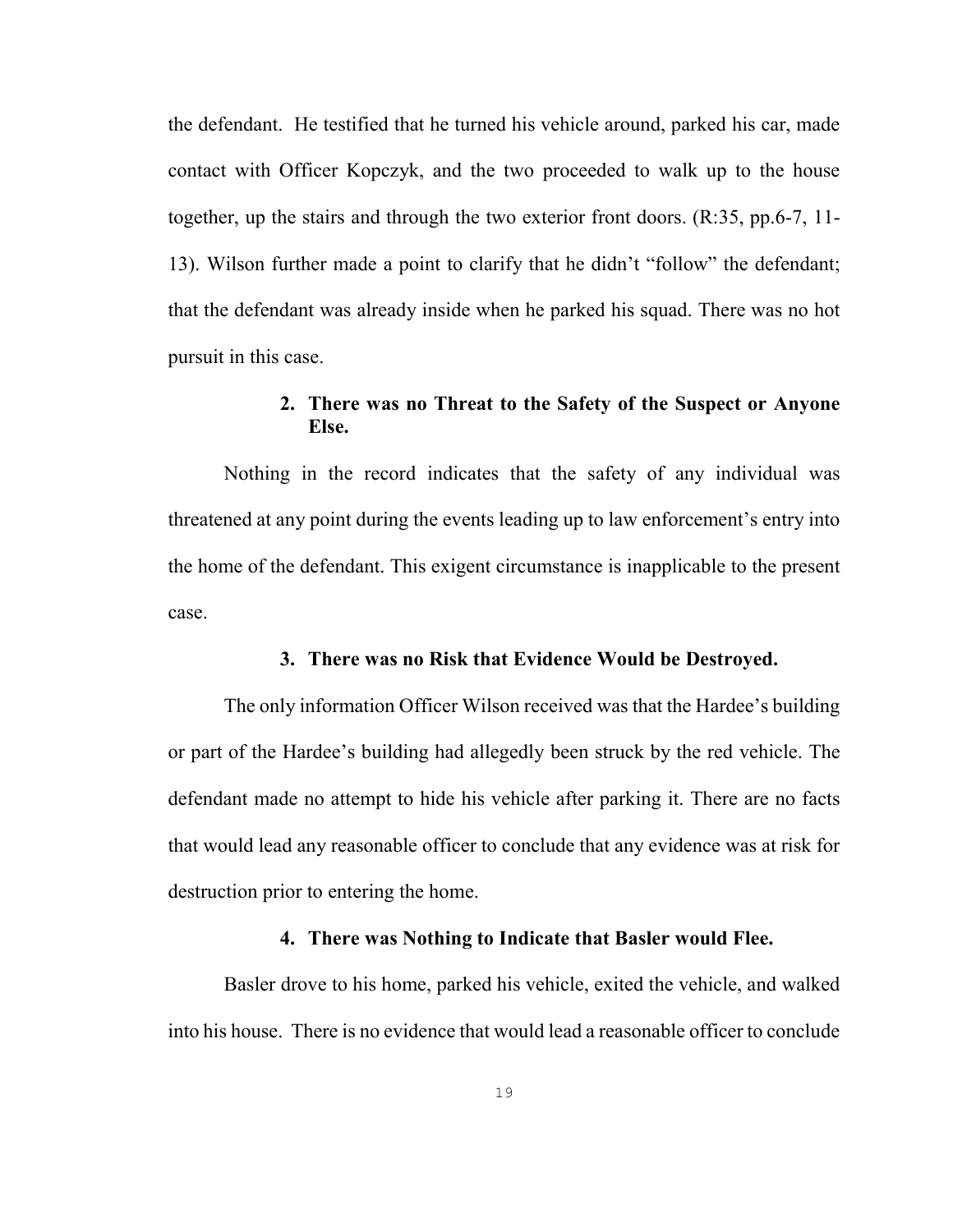the defendant. He testified that he turned his vehicle around, parked his car, made contact with Officer Kopczyk, and the two proceeded to walk up to the house together, up the stairs and through the two exterior front doors. (R:35, pp.6-7, 11- 13). Wilson further made a point to clarify that he didn't "follow" the defendant; that the defendant was already inside when he parked his squad. There was no hot pursuit in this case.

# <span id="page-23-0"></span>**2. There was no Threat to the Safety of the Suspect or Anyone Else.**

Nothing in the record indicates that the safety of any individual was threatened at any point during the events leading up to law enforcement's entry into the home of the defendant. This exigent circumstance is inapplicable to the present case.

#### <span id="page-23-1"></span>**3. There was no Risk that Evidence Would be Destroyed.**

The only information Officer Wilson received was that the Hardee's building or part of the Hardee's building had allegedly been struck by the red vehicle. The defendant made no attempt to hide his vehicle after parking it. There are no facts that would lead any reasonable officer to conclude that any evidence was at risk for destruction prior to entering the home.

## <span id="page-23-2"></span>**4. There was Nothing to Indicate that Basler would Flee.**

Basler drove to his home, parked his vehicle, exited the vehicle, and walked into his house. There is no evidence that would lead a reasonable officer to conclude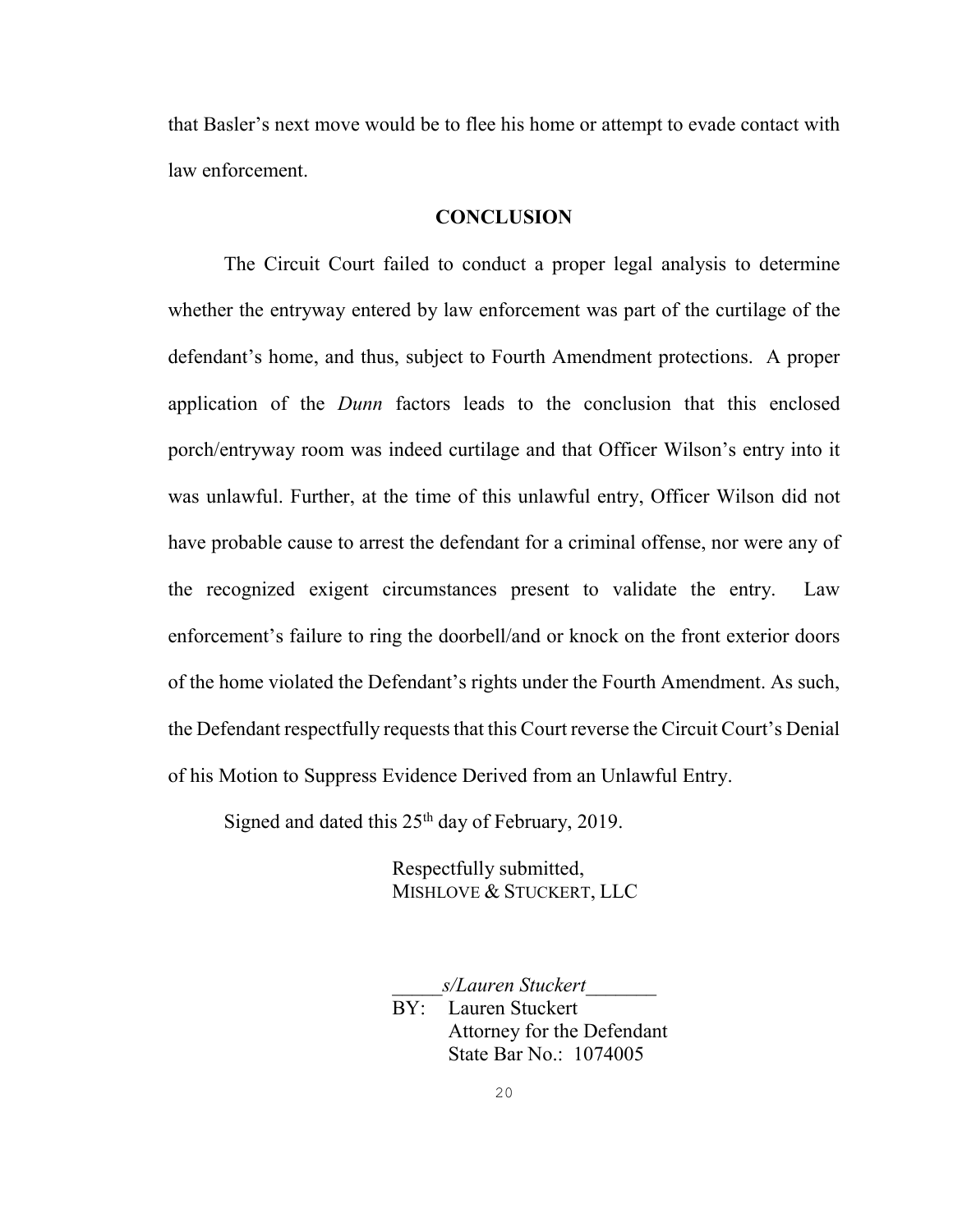that Basler's next move would be to flee his home or attempt to evade contact with law enforcement.

#### <span id="page-24-0"></span>**CONCLUSION**

The Circuit Court failed to conduct a proper legal analysis to determine whether the entryway entered by law enforcement was part of the curtilage of the defendant's home, and thus, subject to Fourth Amendment protections. A proper application of the *Dunn* factors leads to the conclusion that this enclosed porch/entryway room was indeed curtilage and that Officer Wilson's entry into it was unlawful. Further, at the time of this unlawful entry, Officer Wilson did not have probable cause to arrest the defendant for a criminal offense, nor were any of the recognized exigent circumstances present to validate the entry. Law enforcement's failure to ring the doorbell/and or knock on the front exterior doors of the home violated the Defendant's rights under the Fourth Amendment. As such, the Defendant respectfully requests that this Court reverse the Circuit Court's Denial of his Motion to Suppress Evidence Derived from an Unlawful Entry.

Signed and dated this  $25<sup>th</sup>$  day of February, 2019.

Respectfully submitted, MISHLOVE & STUCKERT, LLC

\_\_\_\_\_*s/Lauren Stuckert*\_\_\_\_\_\_\_ BY: Lauren Stuckert Attorney for the Defendant State Bar No.: 1074005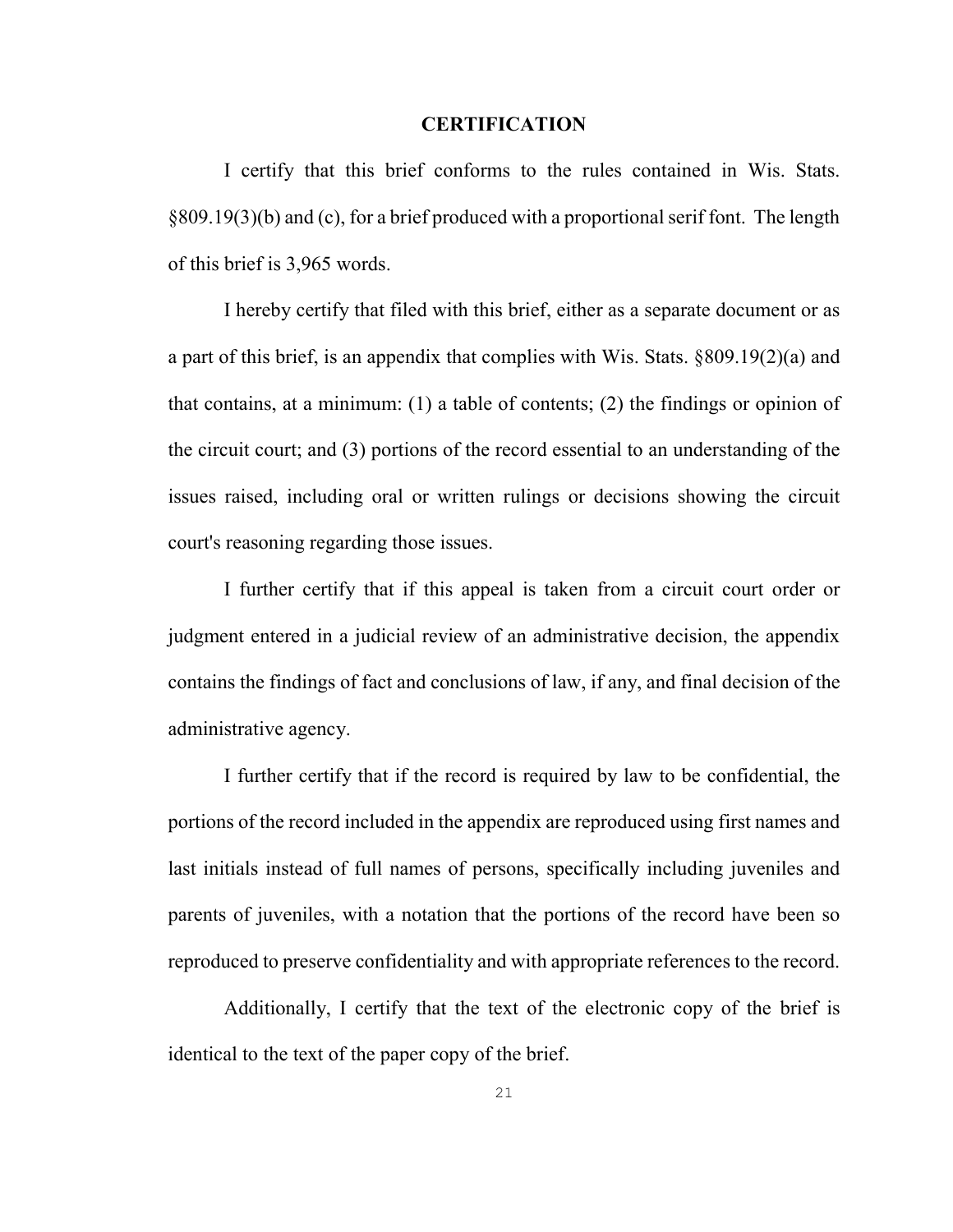#### <span id="page-25-0"></span>**CERTIFICATION**

I certify that this brief conforms to the rules contained in Wis. Stats. §809.19(3)(b) and (c), for a brief produced with a proportional serif font. The length of this brief is 3,965 words.

I hereby certify that filed with this brief, either as a separate document or as a part of this brief, is an appendix that complies with [Wis. Stats. §809.19\(2\)\(a\)](http://nxt.legis.state.wi.us/nxt/gateway.dll?f=xhitlist$xhitlist_x=Advanced$xhitlist_vpc=first$xhitlist_xsl=querylink.xsl$xhitlist_sel=title;path;content-type;home-title$xhitlist_d=%7bstats%7d$xhitlist_q=%5bfield%20folio-destination-name:) and that contains, at a minimum: (1) a table of contents; (2) the findings or opinion of the circuit court; and (3) portions of the record essential to an understanding of the issues raised, including oral or written rulings or decisions showing the circuit court's reasoning regarding those issues.

I further certify that if this appeal is taken from a circuit court order or judgment entered in a judicial review of an administrative decision, the appendix contains the findings of fact and conclusions of law, if any, and final decision of the administrative agency.

I further certify that if the record is required by law to be confidential, the portions of the record included in the appendix are reproduced using first names and last initials instead of full names of persons, specifically including juveniles and parents of juveniles, with a notation that the portions of the record have been so reproduced to preserve confidentiality and with appropriate references to the record.

Additionally, I certify that the text of the electronic copy of the brief is identical to the text of the paper copy of the brief.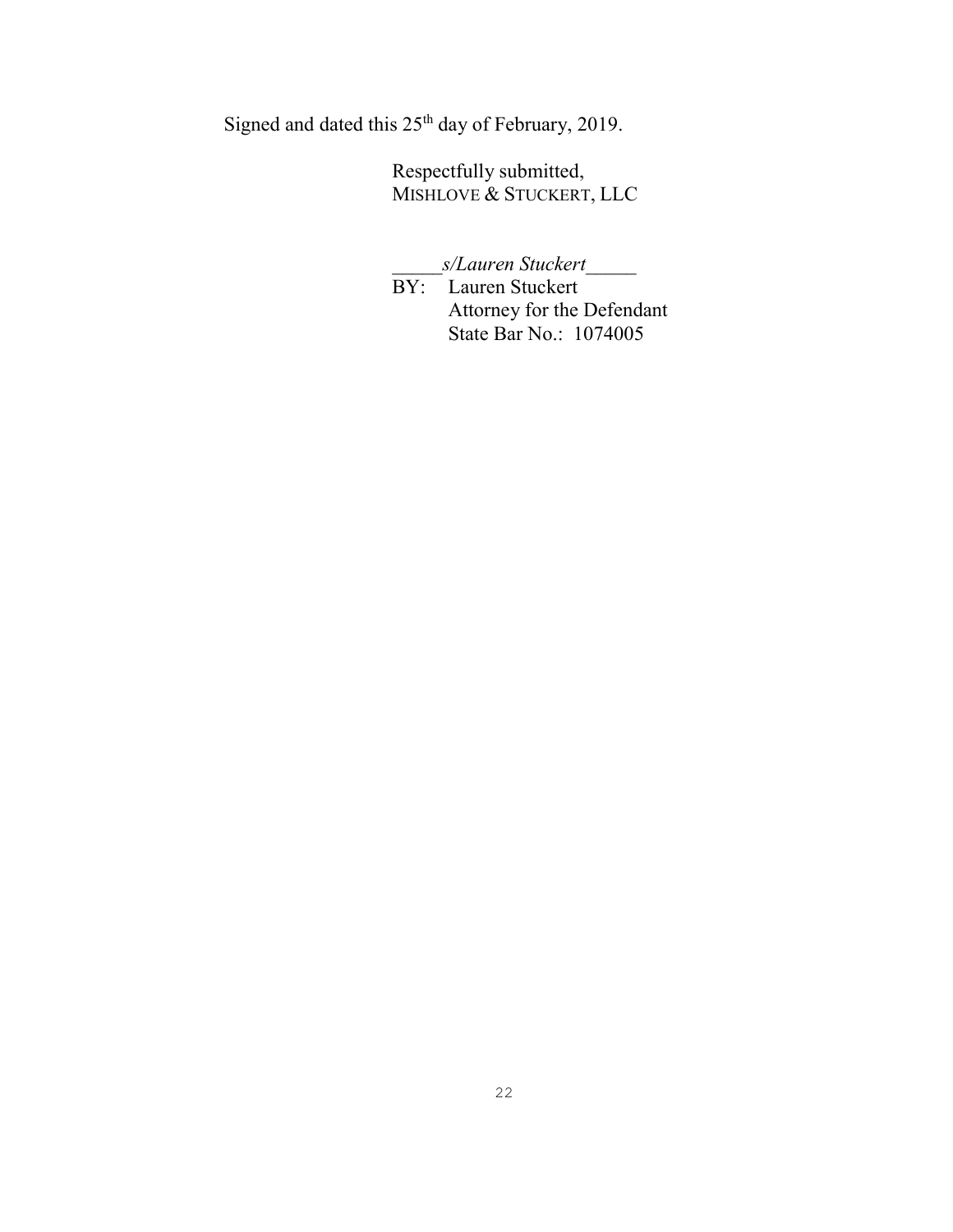Signed and dated this 25th day of February, 2019.

Respectfully submitted, MISHLOVE & STUCKERT, LLC

\_\_\_\_\_*s/Lauren Stuckert*\_\_\_\_\_

BY: Lauren Stuckert Attorney for the Defendant State Bar No.: 1074005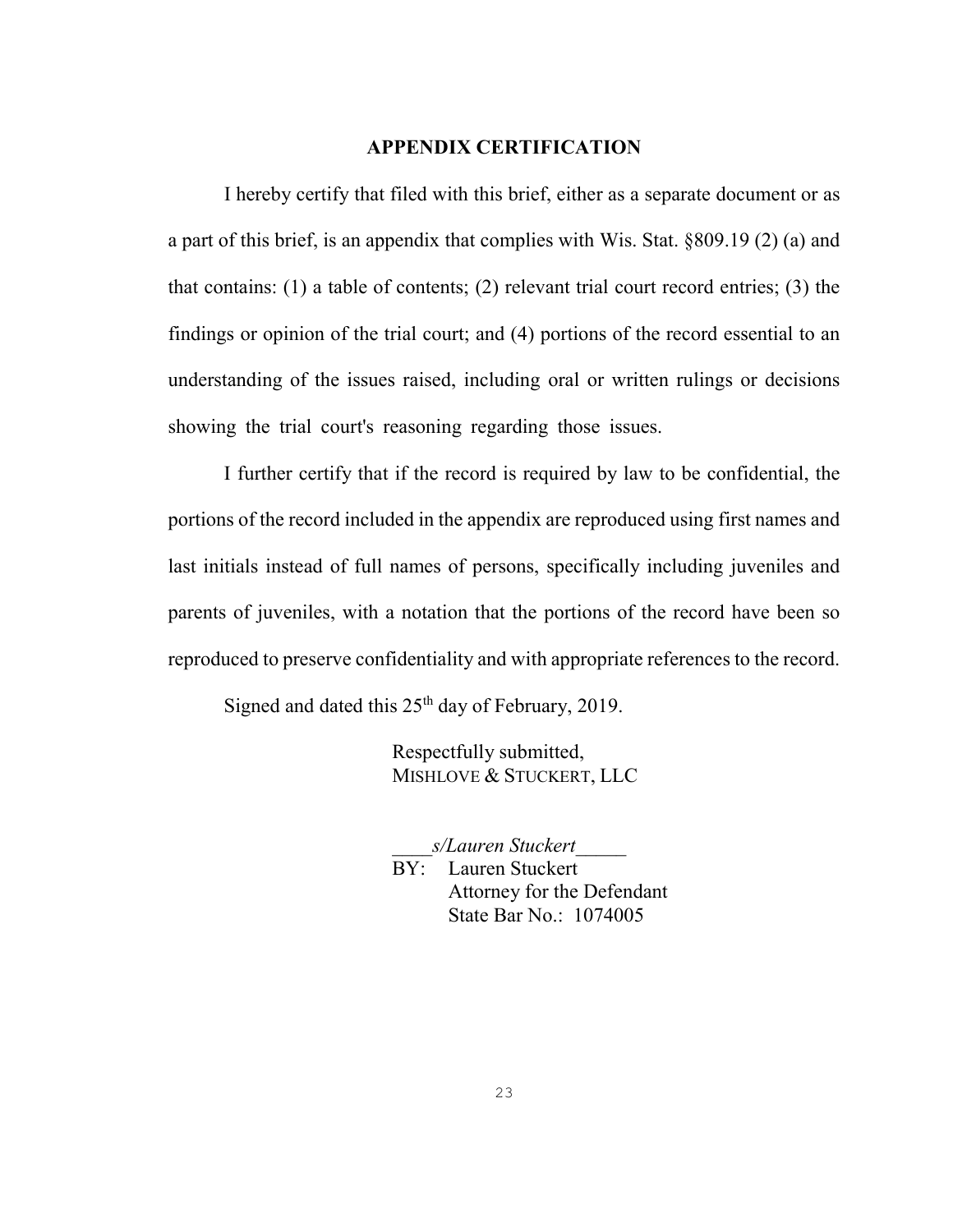## <span id="page-27-0"></span>**APPENDIX CERTIFICATION**

I hereby certify that filed with this brief, either as a separate document or as a part of this brief, is an appendix that complies with [Wis. Stat. §809.19 \(2\) \(a\)](http://nxt.legis.state.wi.us/nxt/gateway.dll?f=xhitlist$xhitlist_x=Advanced$xhitlist_vpc=first$xhitlist_xsl=querylink.xsl$xhitlist_sel=title;path;content-type;home-title$xhitlist_d=%7bstats%7d$xhitlist_q=%5bfield%20folio-destination-name:) and that contains: (1) a table of contents; (2) relevant trial court record entries; (3) the findings or opinion of the trial court; and (4) portions of the record essential to an understanding of the issues raised, including oral or written rulings or decisions showing the trial court's reasoning regarding those issues.

I further certify that if the record is required by law to be confidential, the portions of the record included in the appendix are reproduced using first names and last initials instead of full names of persons, specifically including juveniles and parents of juveniles, with a notation that the portions of the record have been so reproduced to preserve confidentiality and with appropriate references to the record.

Signed and dated this  $25<sup>th</sup>$  day of February, 2019.

Respectfully submitted, MISHLOVE & STUCKERT, LLC

\_\_\_\_*s/Lauren Stuckert*\_\_\_\_\_

BY: Lauren Stuckert Attorney for the Defendant State Bar No.: 1074005